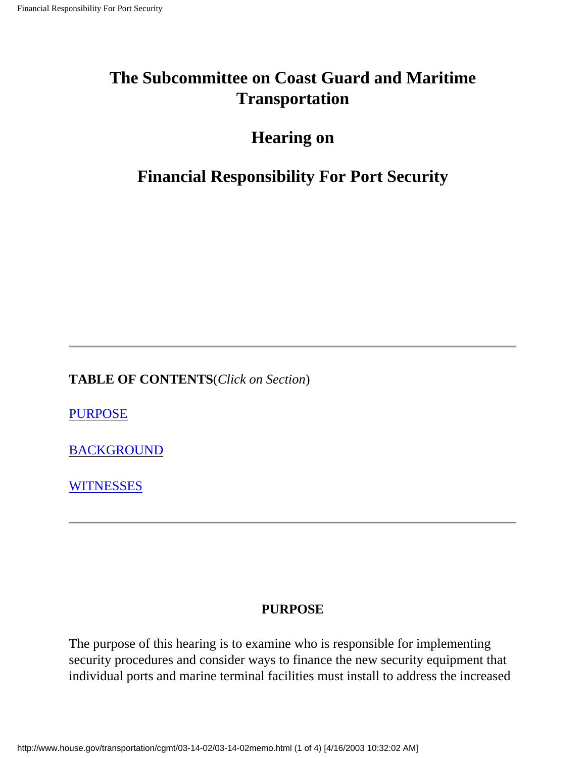## **The Subcommittee on Coast Guard and Maritime Transportation**

## **Hearing on**

## **Financial Responsibility For Port Security**

**TABLE OF CONTENTS**(*Click on Section*)

**[PURPOSE](#page-0-0)** 

[BACKGROUND](#page-1-0)

**[WITNESSES](#page-2-0)** 

#### **PURPOSE**

<span id="page-0-0"></span>The purpose of this hearing is to examine who is responsible for implementing security procedures and consider ways to finance the new security equipment that individual ports and marine terminal facilities must install to address the increased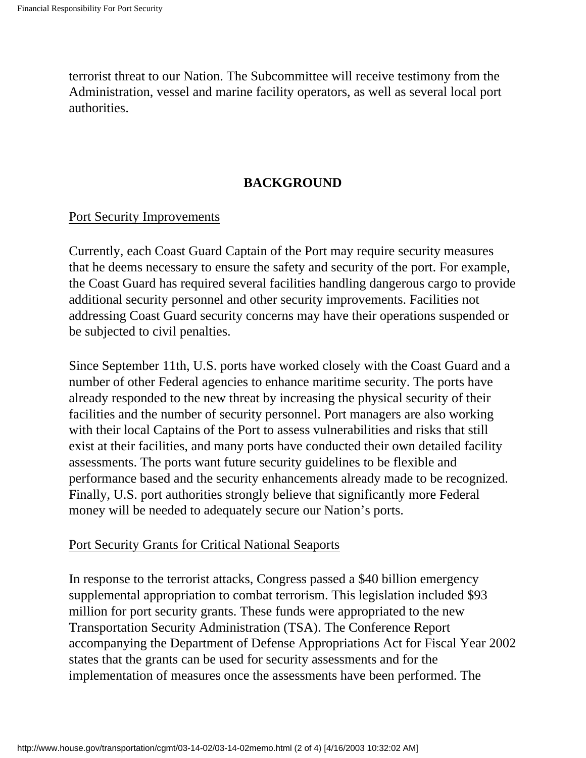terrorist threat to our Nation. The Subcommittee will receive testimony from the Administration, vessel and marine facility operators, as well as several local port authorities.

#### **BACKGROUND**

#### <span id="page-1-0"></span>Port Security Improvements

Currently, each Coast Guard Captain of the Port may require security measures that he deems necessary to ensure the safety and security of the port. For example, the Coast Guard has required several facilities handling dangerous cargo to provide additional security personnel and other security improvements. Facilities not addressing Coast Guard security concerns may have their operations suspended or be subjected to civil penalties.

Since September 11th, U.S. ports have worked closely with the Coast Guard and a number of other Federal agencies to enhance maritime security. The ports have already responded to the new threat by increasing the physical security of their facilities and the number of security personnel. Port managers are also working with their local Captains of the Port to assess vulnerabilities and risks that still exist at their facilities, and many ports have conducted their own detailed facility assessments. The ports want future security guidelines to be flexible and performance based and the security enhancements already made to be recognized. Finally, U.S. port authorities strongly believe that significantly more Federal money will be needed to adequately secure our Nation's ports.

#### Port Security Grants for Critical National Seaports

In response to the terrorist attacks, Congress passed a \$40 billion emergency supplemental appropriation to combat terrorism. This legislation included \$93 million for port security grants. These funds were appropriated to the new Transportation Security Administration (TSA). The Conference Report accompanying the Department of Defense Appropriations Act for Fiscal Year 2002 states that the grants can be used for security assessments and for the implementation of measures once the assessments have been performed. The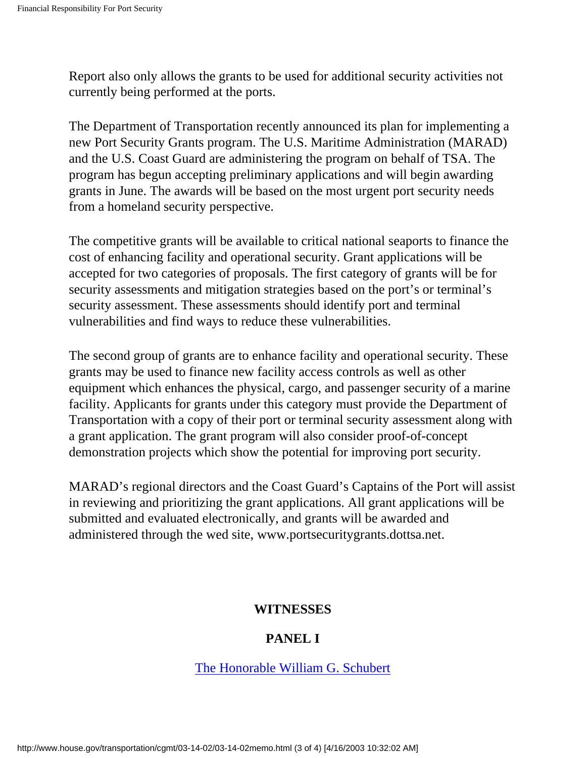Report also only allows the grants to be used for additional security activities not currently being performed at the ports.

The Department of Transportation recently announced its plan for implementing a new Port Security Grants program. The U.S. Maritime Administration (MARAD) and the U.S. Coast Guard are administering the program on behalf of TSA. The program has begun accepting preliminary applications and will begin awarding grants in June. The awards will be based on the most urgent port security needs from a homeland security perspective.

The competitive grants will be available to critical national seaports to finance the cost of enhancing facility and operational security. Grant applications will be accepted for two categories of proposals. The first category of grants will be for security assessments and mitigation strategies based on the port's or terminal's security assessment. These assessments should identify port and terminal vulnerabilities and find ways to reduce these vulnerabilities.

The second group of grants are to enhance facility and operational security. These grants may be used to finance new facility access controls as well as other equipment which enhances the physical, cargo, and passenger security of a marine facility. Applicants for grants under this category must provide the Department of Transportation with a copy of their port or terminal security assessment along with a grant application. The grant program will also consider proof-of-concept demonstration projects which show the potential for improving port security.

<span id="page-2-0"></span>MARAD's regional directors and the Coast Guard's Captains of the Port will assist in reviewing and prioritizing the grant applications. All grant applications will be submitted and evaluated electronically, and grants will be awarded and administered through the wed site, www.portsecuritygrants.dottsa.net.

#### **WITNESSES**

#### **PANEL I**

#### [The Honorable William G. Schubert](#page-4-0)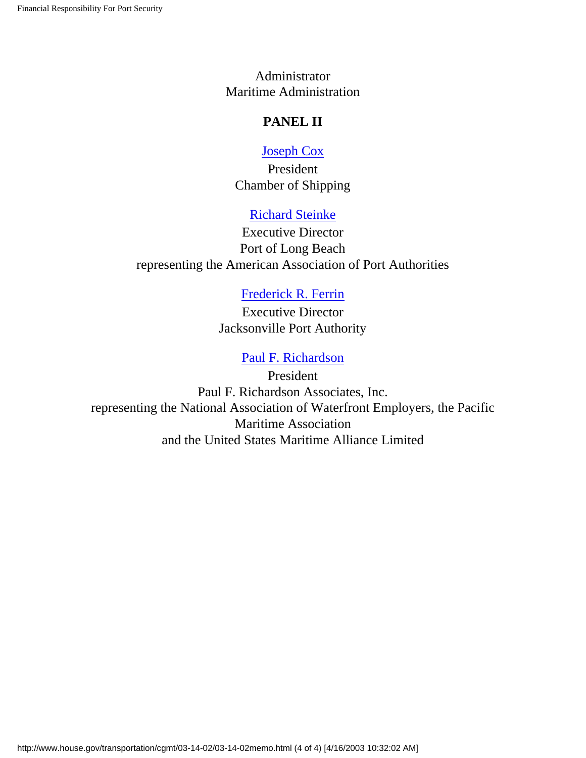Administrator Maritime Administration

#### **PANEL II**

#### [Joseph Cox](#page-13-0)

President Chamber of Shipping

#### [Richard Steinke](#page-25-0)

Executive Director Port of Long Beach representing the American Association of Port Authorities

#### [Frederick R. Ferrin](#page-31-0)

Executive Director Jacksonville Port Authority

#### [Paul F. Richardson](#page-36-0)

President Paul F. Richardson Associates, Inc. representing the National Association of Waterfront Employers, the Pacific Maritime Association and the United States Maritime Alliance Limited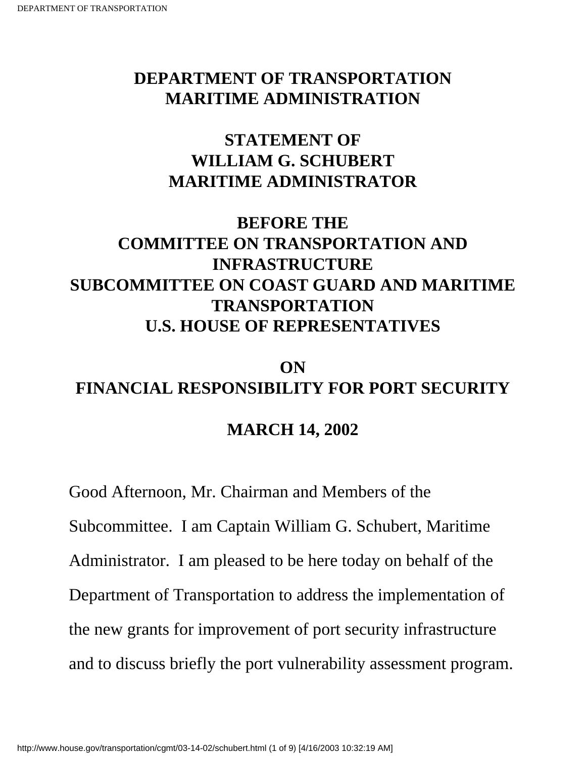## <span id="page-4-0"></span>**DEPARTMENT OF TRANSPORTATION MARITIME ADMINISTRATION**

## **STATEMENT OF WILLIAM G. SCHUBERT MARITIME ADMINISTRATOR**

## **BEFORE THE COMMITTEE ON TRANSPORTATION AND INFRASTRUCTURE SUBCOMMITTEE ON COAST GUARD AND MARITIME TRANSPORTATION U.S. HOUSE OF REPRESENTATIVES**

# **ON FINANCIAL RESPONSIBILITY FOR PORT SECURITY**

## **MARCH 14, 2002**

Good Afternoon, Mr. Chairman and Members of the Subcommittee. I am Captain William G. Schubert, Maritime Administrator. I am pleased to be here today on behalf of the Department of Transportation to address the implementation of the new grants for improvement of port security infrastructure and to discuss briefly the port vulnerability assessment program.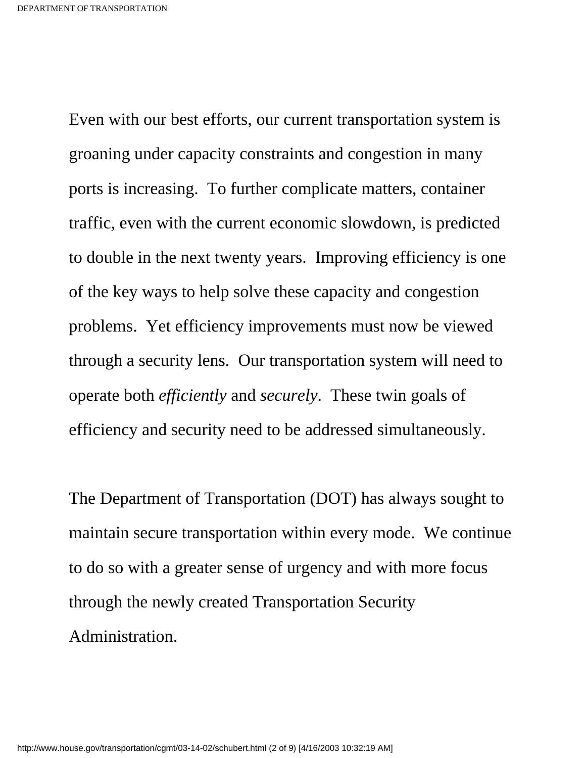Even with our best efforts, our current transportation system is groaning under capacity constraints and congestion in many ports is increasing. To further complicate matters, container traffic, even with the current economic slowdown, is predicted to double in the next twenty years. Improving efficiency is one of the key ways to help solve these capacity and congestion problems. Yet efficiency improvements must now be viewed through a security lens. Our transportation system will need to operate both *efficiently* and *securely*. These twin goals of efficiency and security need to be addressed simultaneously.

The Department of Transportation (DOT) has always sought to maintain secure transportation within every mode. We continue to do so with a greater sense of urgency and with more focus through the newly created Transportation Security Administration.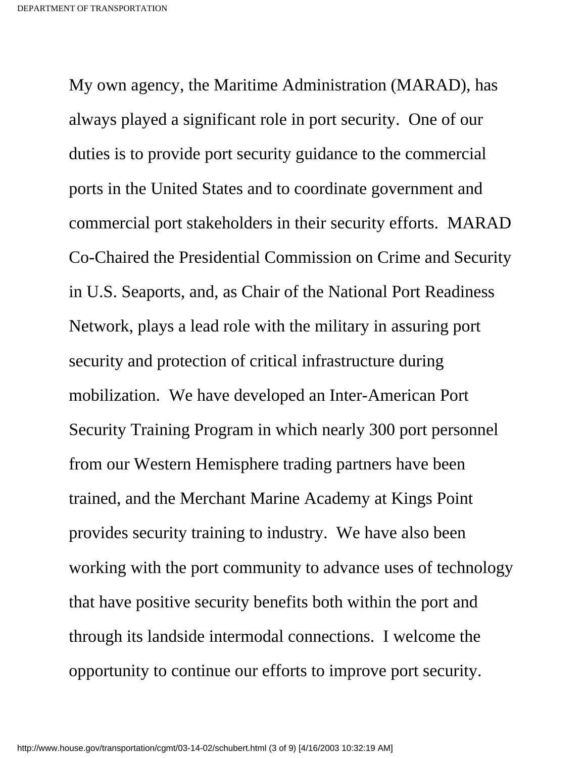My own agency, the Maritime Administration (MARAD), has always played a significant role in port security. One of our duties is to provide port security guidance to the commercial ports in the United States and to coordinate government and commercial port stakeholders in their security efforts. MARAD Co-Chaired the Presidential Commission on Crime and Security in U.S. Seaports, and, as Chair of the National Port Readiness Network, plays a lead role with the military in assuring port security and protection of critical infrastructure during mobilization. We have developed an Inter-American Port Security Training Program in which nearly 300 port personnel from our Western Hemisphere trading partners have been trained, and the Merchant Marine Academy at Kings Point provides security training to industry. We have also been working with the port community to advance uses of technology that have positive security benefits both within the port and through its landside intermodal connections. I welcome the opportunity to continue our efforts to improve port security.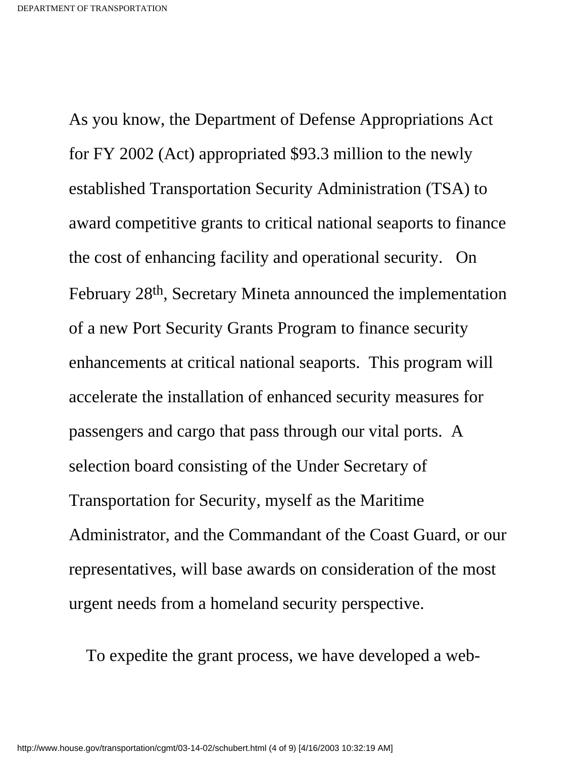As you know, the Department of Defense Appropriations Act for FY 2002 (Act) appropriated \$93.3 million to the newly established Transportation Security Administration (TSA) to award competitive grants to critical national seaports to finance the cost of enhancing facility and operational security. On February 28th, Secretary Mineta announced the implementation of a new Port Security Grants Program to finance security enhancements at critical national seaports. This program will accelerate the installation of enhanced security measures for passengers and cargo that pass through our vital ports. A selection board consisting of the Under Secretary of Transportation for Security, myself as the Maritime Administrator, and the Commandant of the Coast Guard, or our representatives, will base awards on consideration of the most urgent needs from a homeland security perspective.

To expedite the grant process, we have developed a web-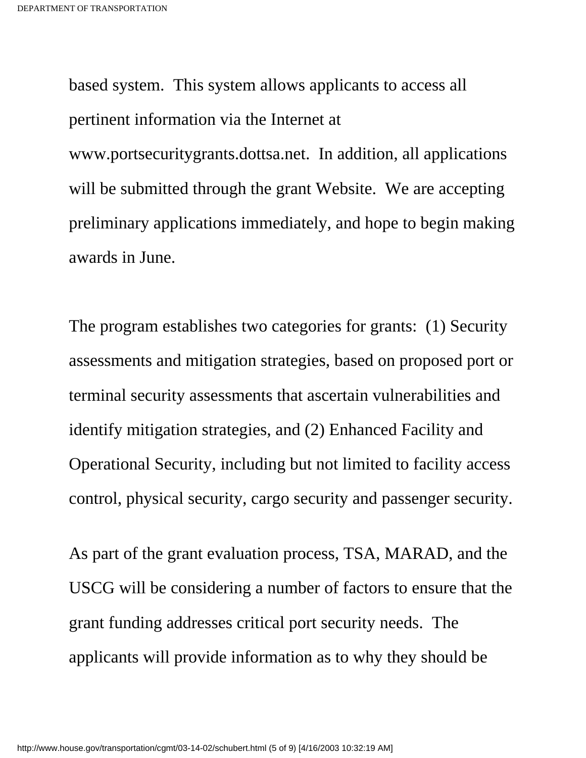based system. This system allows applicants to access all pertinent information via the Internet at www.portsecuritygrants.dottsa.net. In addition, all applications will be submitted through the grant Website. We are accepting preliminary applications immediately, and hope to begin making awards in June.

The program establishes two categories for grants: (1) Security assessments and mitigation strategies, based on proposed port or terminal security assessments that ascertain vulnerabilities and identify mitigation strategies, and (2) Enhanced Facility and Operational Security, including but not limited to facility access control, physical security, cargo security and passenger security.

As part of the grant evaluation process, TSA, MARAD, and the USCG will be considering a number of factors to ensure that the grant funding addresses critical port security needs. The applicants will provide information as to why they should be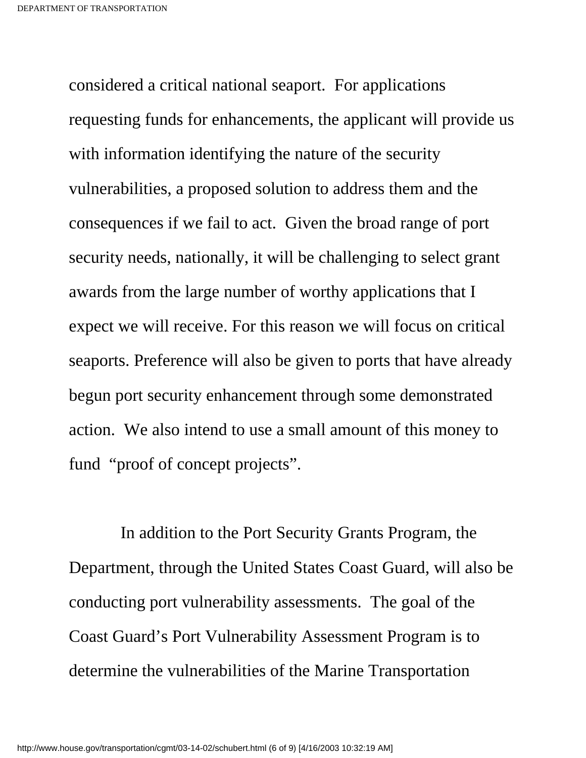considered a critical national seaport. For applications requesting funds for enhancements, the applicant will provide us with information identifying the nature of the security vulnerabilities, a proposed solution to address them and the consequences if we fail to act. Given the broad range of port security needs, nationally, it will be challenging to select grant awards from the large number of worthy applications that I expect we will receive. For this reason we will focus on critical seaports. Preference will also be given to ports that have already begun port security enhancement through some demonstrated action. We also intend to use a small amount of this money to fund "proof of concept projects".

 In addition to the Port Security Grants Program, the Department, through the United States Coast Guard, will also be conducting port vulnerability assessments. The goal of the Coast Guard's Port Vulnerability Assessment Program is to determine the vulnerabilities of the Marine Transportation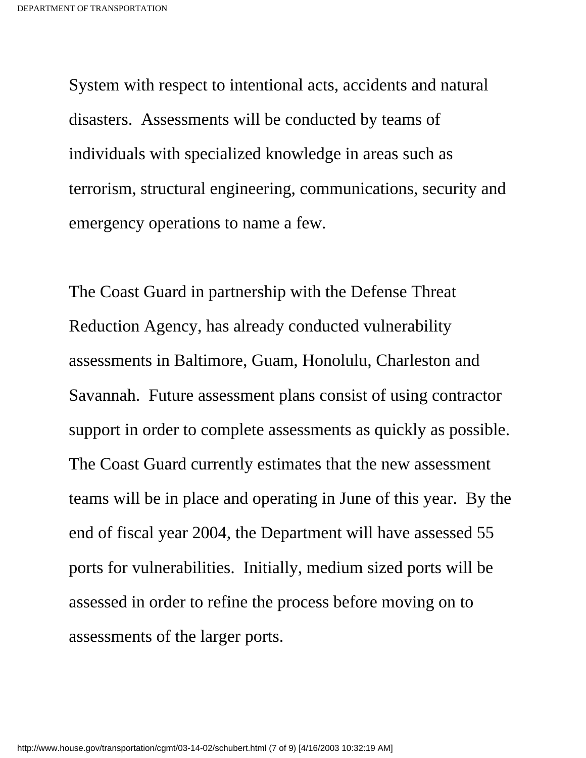System with respect to intentional acts, accidents and natural disasters. Assessments will be conducted by teams of individuals with specialized knowledge in areas such as terrorism, structural engineering, communications, security and emergency operations to name a few.

The Coast Guard in partnership with the Defense Threat Reduction Agency, has already conducted vulnerability assessments in Baltimore, Guam, Honolulu, Charleston and Savannah. Future assessment plans consist of using contractor support in order to complete assessments as quickly as possible. The Coast Guard currently estimates that the new assessment teams will be in place and operating in June of this year. By the end of fiscal year 2004, the Department will have assessed 55 ports for vulnerabilities. Initially, medium sized ports will be assessed in order to refine the process before moving on to assessments of the larger ports.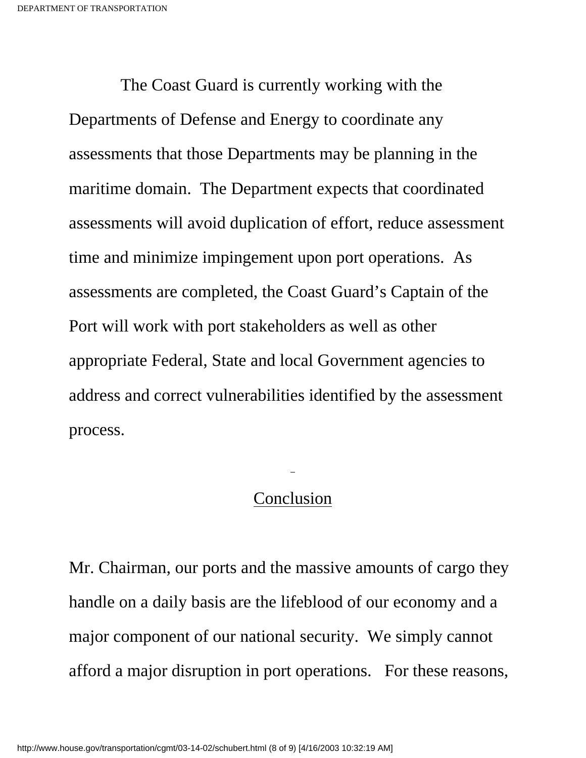The Coast Guard is currently working with the Departments of Defense and Energy to coordinate any assessments that those Departments may be planning in the maritime domain. The Department expects that coordinated assessments will avoid duplication of effort, reduce assessment time and minimize impingement upon port operations. As assessments are completed, the Coast Guard's Captain of the Port will work with port stakeholders as well as other appropriate Federal, State and local Government agencies to address and correct vulnerabilities identified by the assessment process.

#### Conclusion

Mr. Chairman, our ports and the massive amounts of cargo they handle on a daily basis are the lifeblood of our economy and a major component of our national security. We simply cannot afford a major disruption in port operations. For these reasons,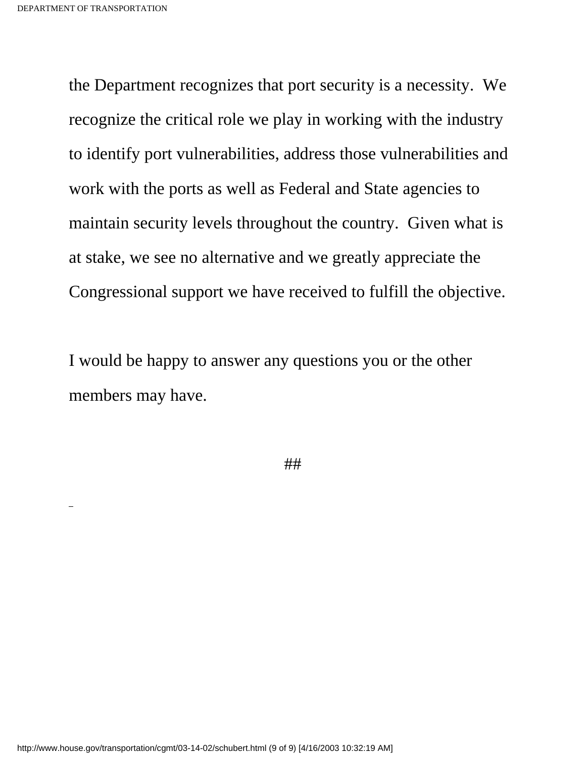the Department recognizes that port security is a necessity. We recognize the critical role we play in working with the industry to identify port vulnerabilities, address those vulnerabilities and work with the ports as well as Federal and State agencies to maintain security levels throughout the country. Given what is at stake, we see no alternative and we greatly appreciate the Congressional support we have received to fulfill the objective.

I would be happy to answer any questions you or the other members may have.

##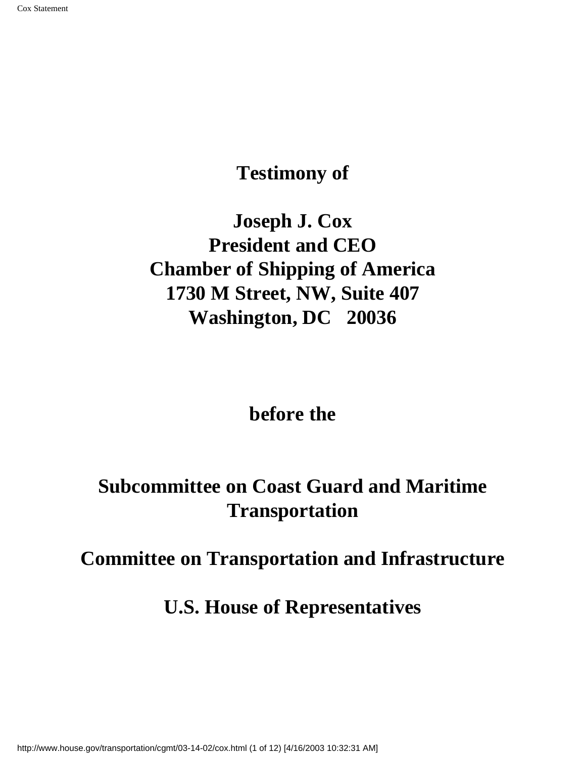**Testimony of** 

<span id="page-13-0"></span>**Joseph J. Cox President and CEO Chamber of Shipping of America 1730 M Street, NW, Suite 407 Washington, DC 20036**

**before the**

**Subcommittee on Coast Guard and Maritime Transportation**

**Committee on Transportation and Infrastructure**

**U.S. House of Representatives**

http://www.house.gov/transportation/cgmt/03-14-02/cox.html (1 of 12) [4/16/2003 10:32:31 AM]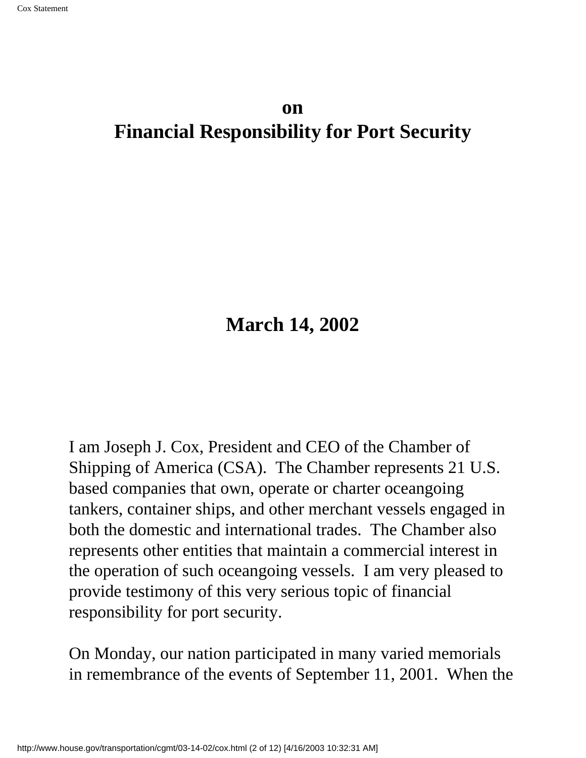### **on Financial Responsibility for Port Security**

## **March 14, 2002**

I am Joseph J. Cox, President and CEO of the Chamber of Shipping of America (CSA). The Chamber represents 21 U.S. based companies that own, operate or charter oceangoing tankers, container ships, and other merchant vessels engaged in both the domestic and international trades. The Chamber also represents other entities that maintain a commercial interest in the operation of such oceangoing vessels. I am very pleased to provide testimony of this very serious topic of financial responsibility for port security.

On Monday, our nation participated in many varied memorials in remembrance of the events of September 11, 2001. When the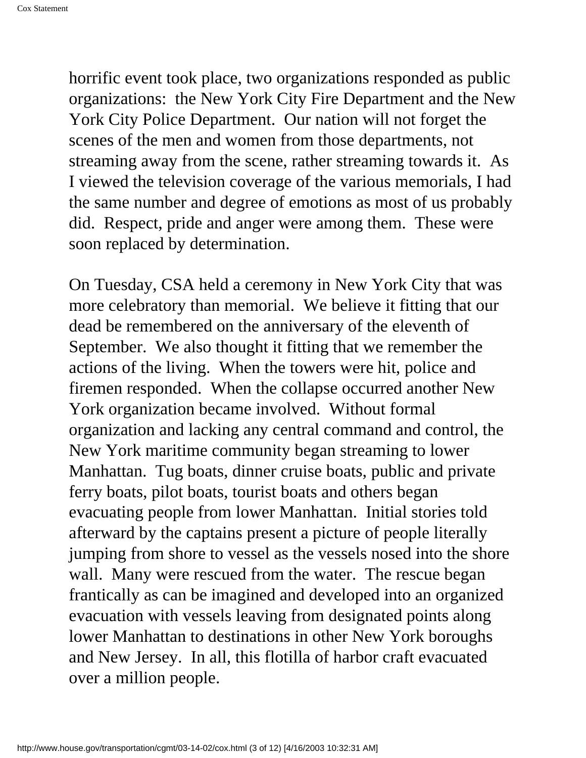horrific event took place, two organizations responded as public organizations: the New York City Fire Department and the New York City Police Department. Our nation will not forget the scenes of the men and women from those departments, not streaming away from the scene, rather streaming towards it. As I viewed the television coverage of the various memorials, I had the same number and degree of emotions as most of us probably did. Respect, pride and anger were among them. These were soon replaced by determination.

On Tuesday, CSA held a ceremony in New York City that was more celebratory than memorial. We believe it fitting that our dead be remembered on the anniversary of the eleventh of September. We also thought it fitting that we remember the actions of the living. When the towers were hit, police and firemen responded. When the collapse occurred another New York organization became involved. Without formal organization and lacking any central command and control, the New York maritime community began streaming to lower Manhattan. Tug boats, dinner cruise boats, public and private ferry boats, pilot boats, tourist boats and others began evacuating people from lower Manhattan. Initial stories told afterward by the captains present a picture of people literally jumping from shore to vessel as the vessels nosed into the shore wall. Many were rescued from the water. The rescue began frantically as can be imagined and developed into an organized evacuation with vessels leaving from designated points along lower Manhattan to destinations in other New York boroughs and New Jersey. In all, this flotilla of harbor craft evacuated over a million people.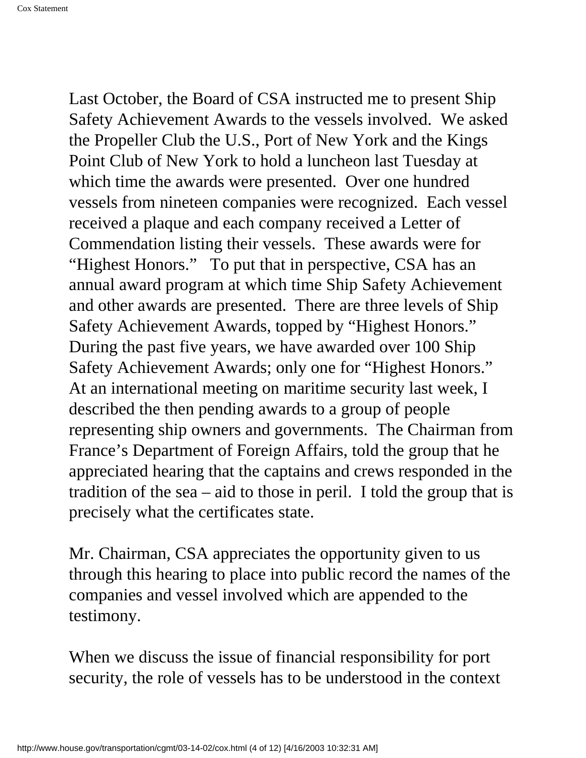Last October, the Board of CSA instructed me to present Ship Safety Achievement Awards to the vessels involved. We asked the Propeller Club the U.S., Port of New York and the Kings Point Club of New York to hold a luncheon last Tuesday at which time the awards were presented. Over one hundred vessels from nineteen companies were recognized. Each vessel received a plaque and each company received a Letter of Commendation listing their vessels. These awards were for "Highest Honors." To put that in perspective, CSA has an annual award program at which time Ship Safety Achievement and other awards are presented. There are three levels of Ship Safety Achievement Awards, topped by "Highest Honors." During the past five years, we have awarded over 100 Ship Safety Achievement Awards; only one for "Highest Honors." At an international meeting on maritime security last week, I described the then pending awards to a group of people representing ship owners and governments. The Chairman from France's Department of Foreign Affairs, told the group that he appreciated hearing that the captains and crews responded in the tradition of the sea – aid to those in peril. I told the group that is precisely what the certificates state.

Mr. Chairman, CSA appreciates the opportunity given to us through this hearing to place into public record the names of the companies and vessel involved which are appended to the testimony.

When we discuss the issue of financial responsibility for port security, the role of vessels has to be understood in the context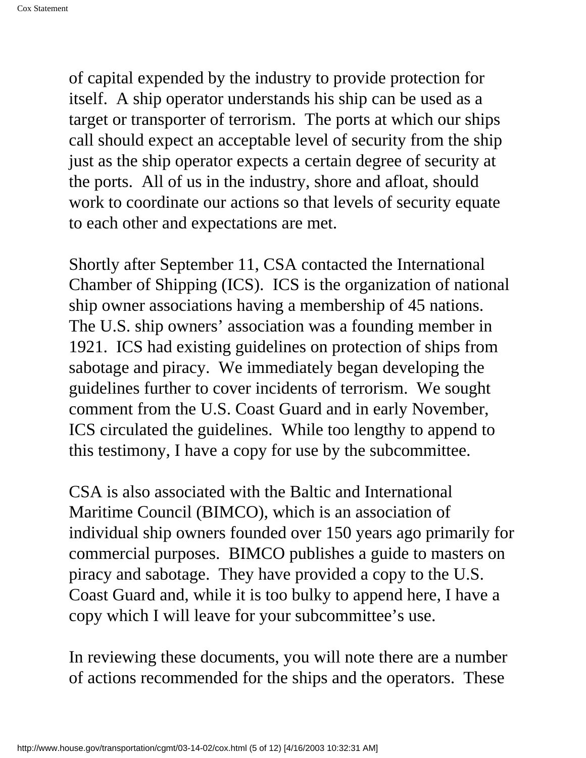of capital expended by the industry to provide protection for itself. A ship operator understands his ship can be used as a target or transporter of terrorism. The ports at which our ships call should expect an acceptable level of security from the ship just as the ship operator expects a certain degree of security at the ports. All of us in the industry, shore and afloat, should work to coordinate our actions so that levels of security equate to each other and expectations are met.

Shortly after September 11, CSA contacted the International Chamber of Shipping (ICS). ICS is the organization of national ship owner associations having a membership of 45 nations. The U.S. ship owners' association was a founding member in 1921. ICS had existing guidelines on protection of ships from sabotage and piracy. We immediately began developing the guidelines further to cover incidents of terrorism. We sought comment from the U.S. Coast Guard and in early November, ICS circulated the guidelines. While too lengthy to append to this testimony, I have a copy for use by the subcommittee.

CSA is also associated with the Baltic and International Maritime Council (BIMCO), which is an association of individual ship owners founded over 150 years ago primarily for commercial purposes. BIMCO publishes a guide to masters on piracy and sabotage. They have provided a copy to the U.S. Coast Guard and, while it is too bulky to append here, I have a copy which I will leave for your subcommittee's use.

In reviewing these documents, you will note there are a number of actions recommended for the ships and the operators. These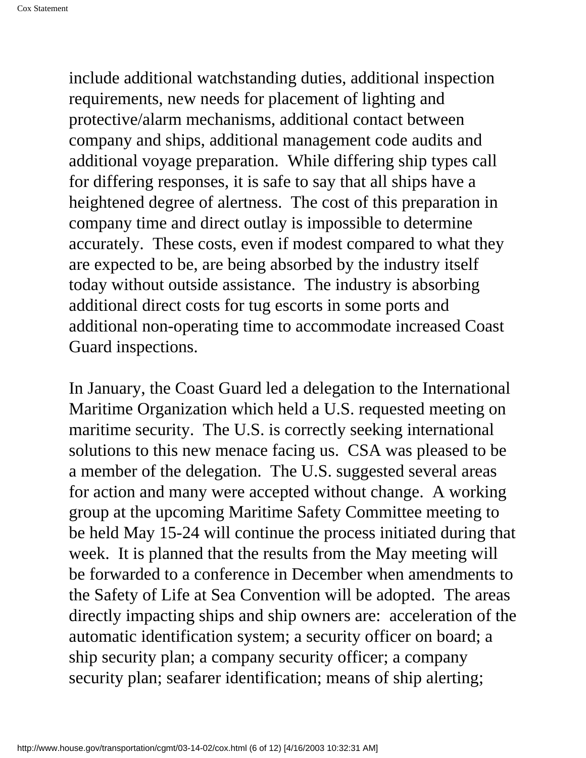include additional watchstanding duties, additional inspection requirements, new needs for placement of lighting and protective/alarm mechanisms, additional contact between company and ships, additional management code audits and additional voyage preparation. While differing ship types call for differing responses, it is safe to say that all ships have a heightened degree of alertness. The cost of this preparation in company time and direct outlay is impossible to determine accurately. These costs, even if modest compared to what they are expected to be, are being absorbed by the industry itself today without outside assistance. The industry is absorbing additional direct costs for tug escorts in some ports and additional non-operating time to accommodate increased Coast Guard inspections.

In January, the Coast Guard led a delegation to the International Maritime Organization which held a U.S. requested meeting on maritime security. The U.S. is correctly seeking international solutions to this new menace facing us. CSA was pleased to be a member of the delegation. The U.S. suggested several areas for action and many were accepted without change. A working group at the upcoming Maritime Safety Committee meeting to be held May 15-24 will continue the process initiated during that week. It is planned that the results from the May meeting will be forwarded to a conference in December when amendments to the Safety of Life at Sea Convention will be adopted. The areas directly impacting ships and ship owners are: acceleration of the automatic identification system; a security officer on board; a ship security plan; a company security officer; a company security plan; seafarer identification; means of ship alerting;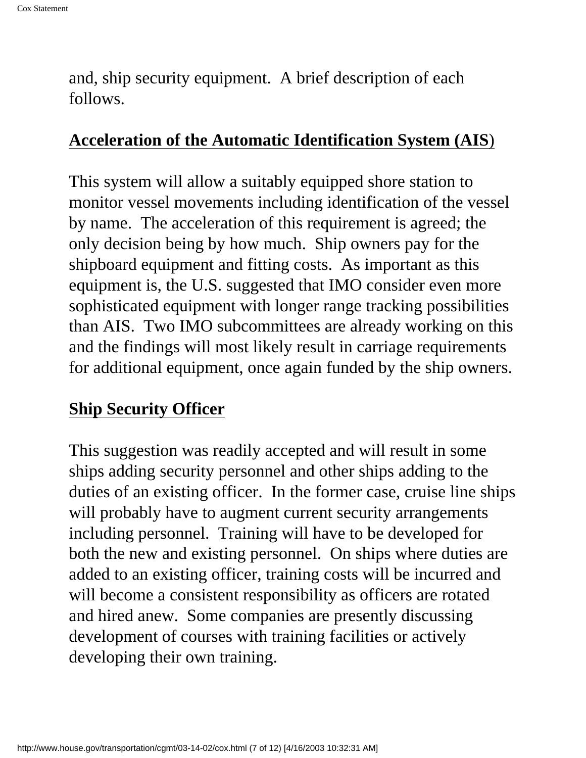and, ship security equipment. A brief description of each follows.

#### **Acceleration of the Automatic Identification System (AIS**)

This system will allow a suitably equipped shore station to monitor vessel movements including identification of the vessel by name. The acceleration of this requirement is agreed; the only decision being by how much. Ship owners pay for the shipboard equipment and fitting costs. As important as this equipment is, the U.S. suggested that IMO consider even more sophisticated equipment with longer range tracking possibilities than AIS. Two IMO subcommittees are already working on this and the findings will most likely result in carriage requirements for additional equipment, once again funded by the ship owners.

## **Ship Security Officer**

This suggestion was readily accepted and will result in some ships adding security personnel and other ships adding to the duties of an existing officer. In the former case, cruise line ships will probably have to augment current security arrangements including personnel. Training will have to be developed for both the new and existing personnel. On ships where duties are added to an existing officer, training costs will be incurred and will become a consistent responsibility as officers are rotated and hired anew. Some companies are presently discussing development of courses with training facilities or actively developing their own training.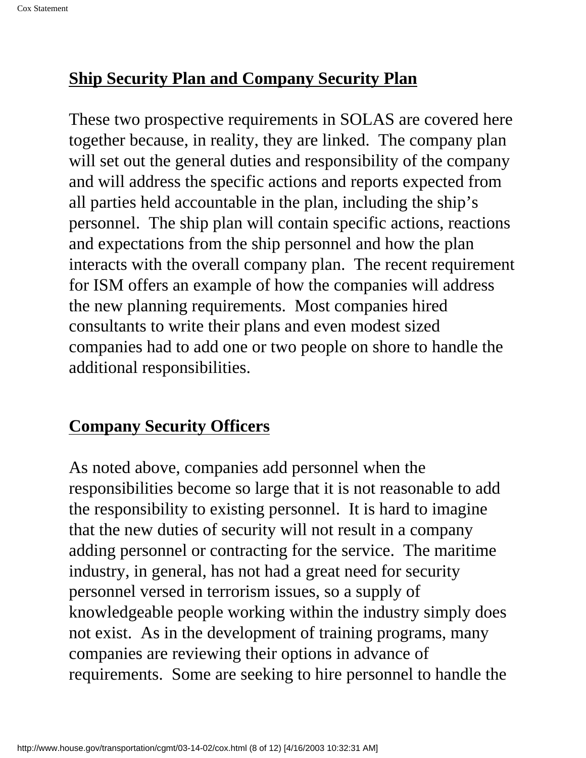## **Ship Security Plan and Company Security Plan**

These two prospective requirements in SOLAS are covered here together because, in reality, they are linked. The company plan will set out the general duties and responsibility of the company and will address the specific actions and reports expected from all parties held accountable in the plan, including the ship's personnel. The ship plan will contain specific actions, reactions and expectations from the ship personnel and how the plan interacts with the overall company plan. The recent requirement for ISM offers an example of how the companies will address the new planning requirements. Most companies hired consultants to write their plans and even modest sized companies had to add one or two people on shore to handle the additional responsibilities.

## **Company Security Officers**

As noted above, companies add personnel when the responsibilities become so large that it is not reasonable to add the responsibility to existing personnel. It is hard to imagine that the new duties of security will not result in a company adding personnel or contracting for the service. The maritime industry, in general, has not had a great need for security personnel versed in terrorism issues, so a supply of knowledgeable people working within the industry simply does not exist. As in the development of training programs, many companies are reviewing their options in advance of requirements. Some are seeking to hire personnel to handle the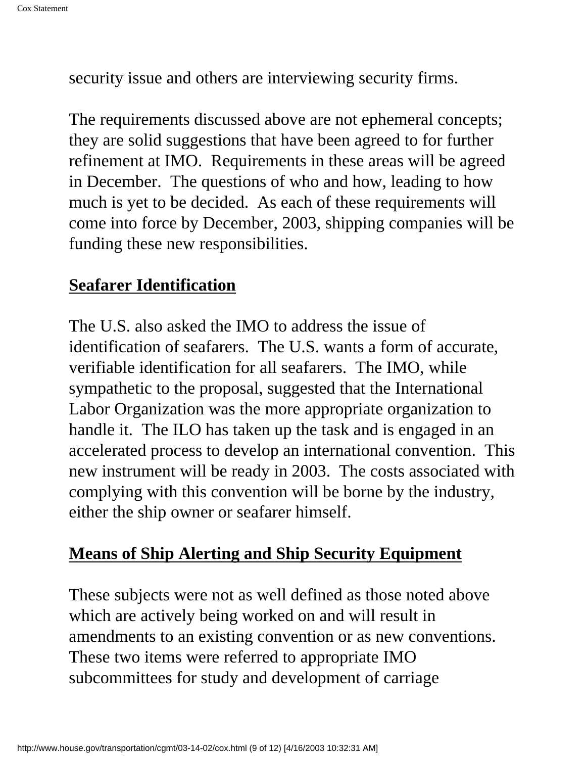security issue and others are interviewing security firms.

The requirements discussed above are not ephemeral concepts; they are solid suggestions that have been agreed to for further refinement at IMO. Requirements in these areas will be agreed in December. The questions of who and how, leading to how much is yet to be decided. As each of these requirements will come into force by December, 2003, shipping companies will be funding these new responsibilities.

#### **Seafarer Identification**

The U.S. also asked the IMO to address the issue of identification of seafarers. The U.S. wants a form of accurate, verifiable identification for all seafarers. The IMO, while sympathetic to the proposal, suggested that the International Labor Organization was the more appropriate organization to handle it. The ILO has taken up the task and is engaged in an accelerated process to develop an international convention. This new instrument will be ready in 2003. The costs associated with complying with this convention will be borne by the industry, either the ship owner or seafarer himself.

## **Means of Ship Alerting and Ship Security Equipment**

These subjects were not as well defined as those noted above which are actively being worked on and will result in amendments to an existing convention or as new conventions. These two items were referred to appropriate IMO subcommittees for study and development of carriage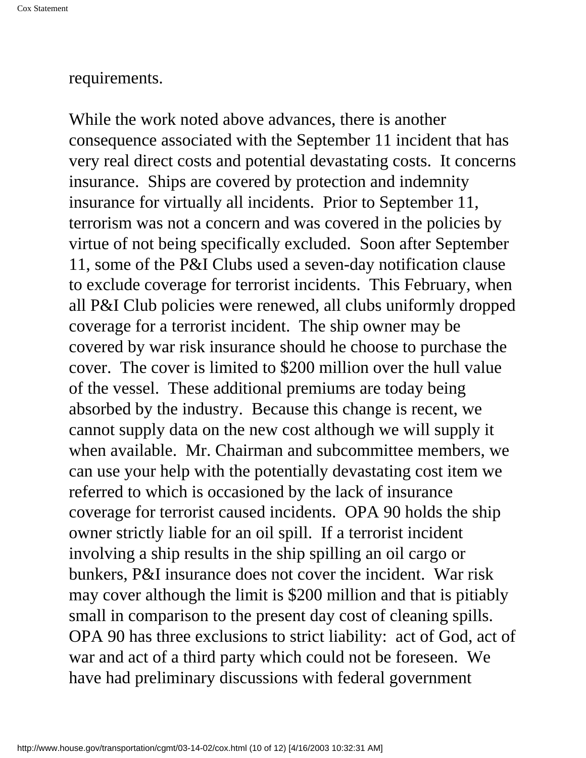#### requirements.

While the work noted above advances, there is another consequence associated with the September 11 incident that has very real direct costs and potential devastating costs. It concerns insurance. Ships are covered by protection and indemnity insurance for virtually all incidents. Prior to September 11, terrorism was not a concern and was covered in the policies by virtue of not being specifically excluded. Soon after September 11, some of the P&I Clubs used a seven-day notification clause to exclude coverage for terrorist incidents. This February, when all P&I Club policies were renewed, all clubs uniformly dropped coverage for a terrorist incident. The ship owner may be covered by war risk insurance should he choose to purchase the cover. The cover is limited to \$200 million over the hull value of the vessel. These additional premiums are today being absorbed by the industry. Because this change is recent, we cannot supply data on the new cost although we will supply it when available. Mr. Chairman and subcommittee members, we can use your help with the potentially devastating cost item we referred to which is occasioned by the lack of insurance coverage for terrorist caused incidents. OPA 90 holds the ship owner strictly liable for an oil spill. If a terrorist incident involving a ship results in the ship spilling an oil cargo or bunkers, P&I insurance does not cover the incident. War risk may cover although the limit is \$200 million and that is pitiably small in comparison to the present day cost of cleaning spills. OPA 90 has three exclusions to strict liability: act of God, act of war and act of a third party which could not be foreseen. We have had preliminary discussions with federal government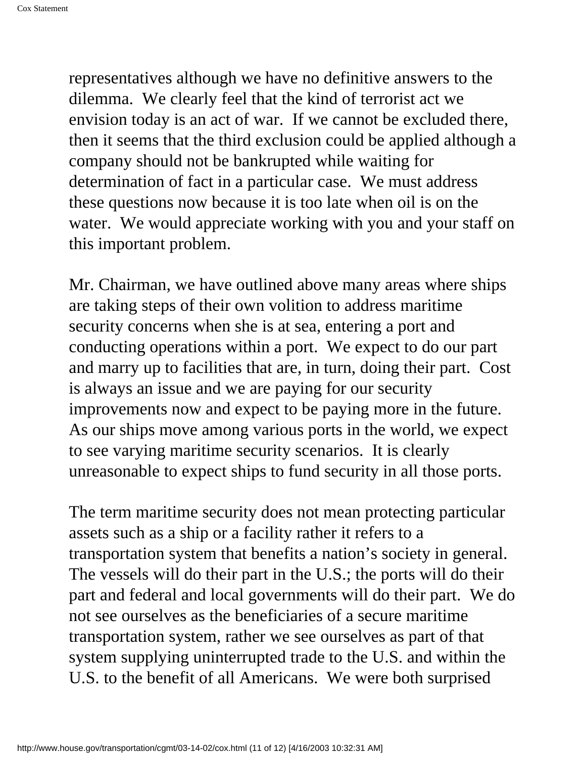representatives although we have no definitive answers to the dilemma. We clearly feel that the kind of terrorist act we envision today is an act of war. If we cannot be excluded there, then it seems that the third exclusion could be applied although a company should not be bankrupted while waiting for determination of fact in a particular case. We must address these questions now because it is too late when oil is on the water. We would appreciate working with you and your staff on this important problem.

Mr. Chairman, we have outlined above many areas where ships are taking steps of their own volition to address maritime security concerns when she is at sea, entering a port and conducting operations within a port. We expect to do our part and marry up to facilities that are, in turn, doing their part. Cost is always an issue and we are paying for our security improvements now and expect to be paying more in the future. As our ships move among various ports in the world, we expect to see varying maritime security scenarios. It is clearly unreasonable to expect ships to fund security in all those ports.

The term maritime security does not mean protecting particular assets such as a ship or a facility rather it refers to a transportation system that benefits a nation's society in general. The vessels will do their part in the U.S.; the ports will do their part and federal and local governments will do their part. We do not see ourselves as the beneficiaries of a secure maritime transportation system, rather we see ourselves as part of that system supplying uninterrupted trade to the U.S. and within the U.S. to the benefit of all Americans. We were both surprised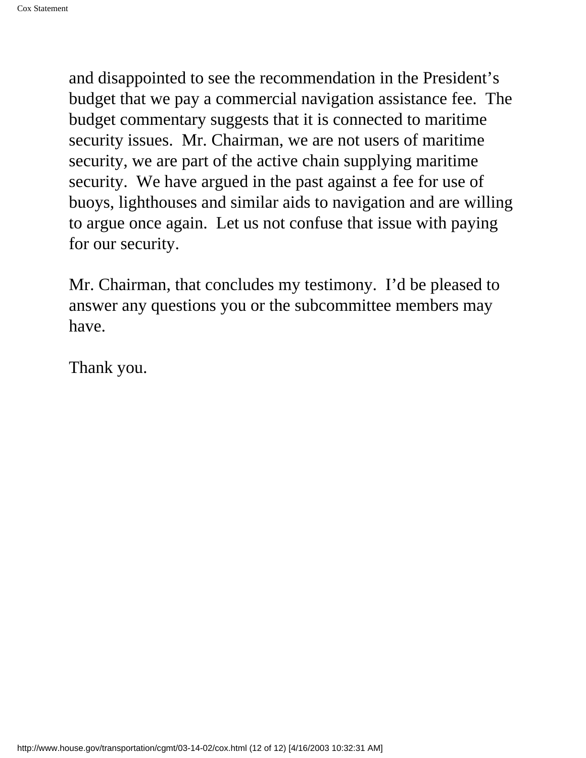and disappointed to see the recommendation in the President's budget that we pay a commercial navigation assistance fee. The budget commentary suggests that it is connected to maritime security issues. Mr. Chairman, we are not users of maritime security, we are part of the active chain supplying maritime security. We have argued in the past against a fee for use of buoys, lighthouses and similar aids to navigation and are willing to argue once again. Let us not confuse that issue with paying for our security.

Mr. Chairman, that concludes my testimony. I'd be pleased to answer any questions you or the subcommittee members may have.

Thank you.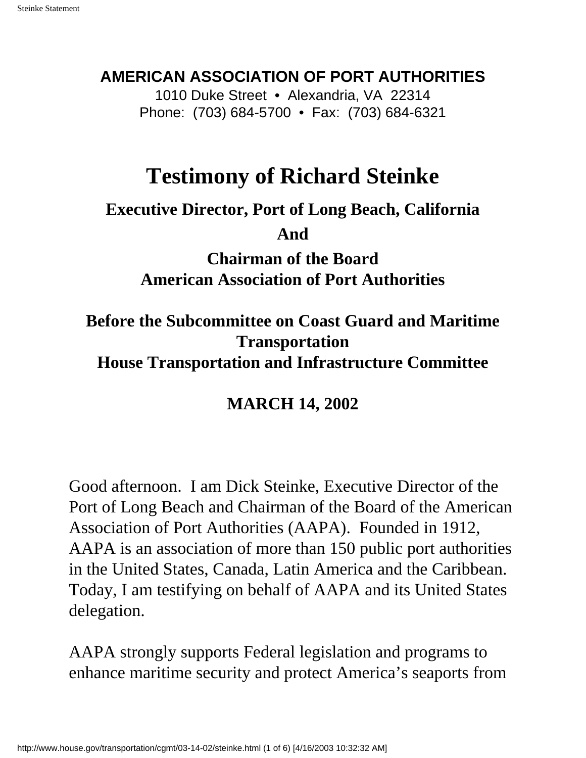## <span id="page-25-0"></span>**AMERICAN ASSOCIATION OF PORT AUTHORITIES**

1010 Duke Street • Alexandria, VA 22314 Phone: (703) 684-5700 • Fax: (703) 684-6321

# **Testimony of Richard Steinke**

**Executive Director, Port of Long Beach, California**

**And**

**Chairman of the Board American Association of Port Authorities**

**Before the Subcommittee on Coast Guard and Maritime Transportation**

**House Transportation and Infrastructure Committee**

## **MARCH 14, 2002**

Good afternoon. I am Dick Steinke, Executive Director of the Port of Long Beach and Chairman of the Board of the American Association of Port Authorities (AAPA). Founded in 1912, AAPA is an association of more than 150 public port authorities in the United States, Canada, Latin America and the Caribbean. Today, I am testifying on behalf of AAPA and its United States delegation.

AAPA strongly supports Federal legislation and programs to enhance maritime security and protect America's seaports from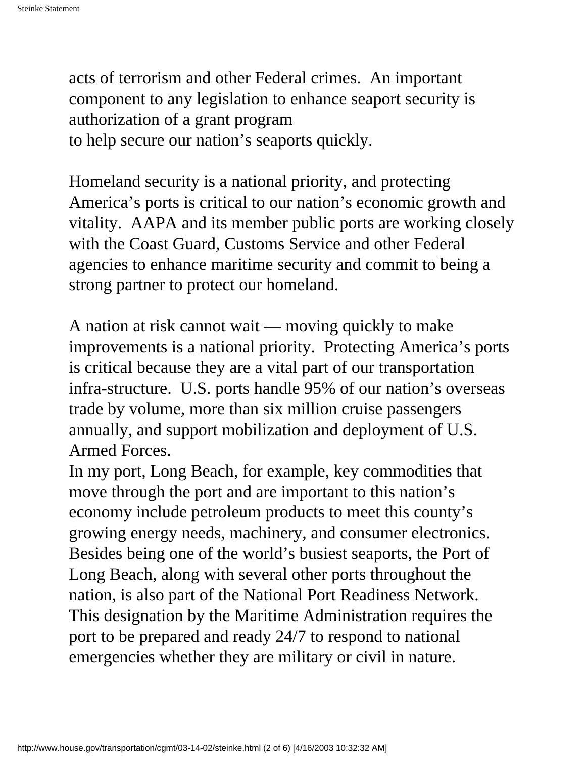acts of terrorism and other Federal crimes. An important component to any legislation to enhance seaport security is authorization of a grant program to help secure our nation's seaports quickly.

Homeland security is a national priority, and protecting America's ports is critical to our nation's economic growth and vitality. AAPA and its member public ports are working closely with the Coast Guard, Customs Service and other Federal agencies to enhance maritime security and commit to being a strong partner to protect our homeland.

A nation at risk cannot wait — moving quickly to make improvements is a national priority. Protecting America's ports is critical because they are a vital part of our transportation infra-structure. U.S. ports handle 95% of our nation's overseas trade by volume, more than six million cruise passengers annually, and support mobilization and deployment of U.S. Armed Forces.

In my port, Long Beach, for example, key commodities that move through the port and are important to this nation's economy include petroleum products to meet this county's growing energy needs, machinery, and consumer electronics. Besides being one of the world's busiest seaports, the Port of Long Beach, along with several other ports throughout the nation, is also part of the National Port Readiness Network. This designation by the Maritime Administration requires the port to be prepared and ready 24/7 to respond to national emergencies whether they are military or civil in nature.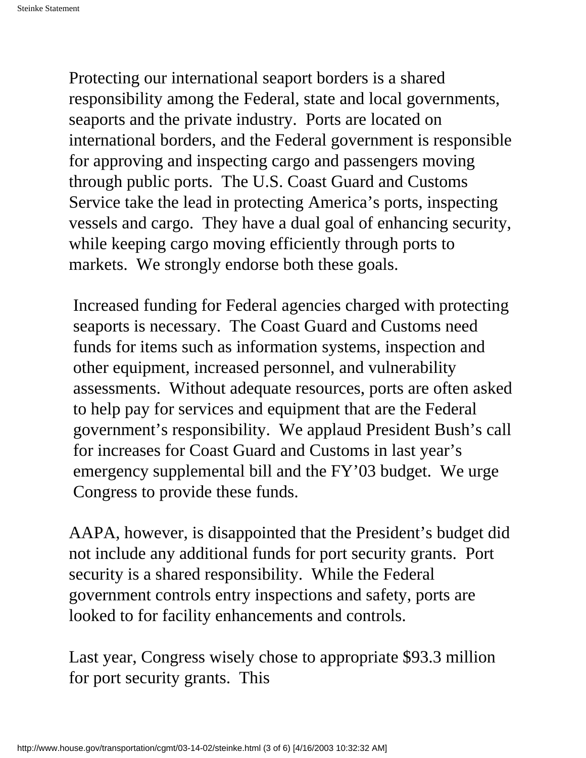Protecting our international seaport borders is a shared responsibility among the Federal, state and local governments, seaports and the private industry. Ports are located on international borders, and the Federal government is responsible for approving and inspecting cargo and passengers moving through public ports. The U.S. Coast Guard and Customs Service take the lead in protecting America's ports, inspecting vessels and cargo. They have a dual goal of enhancing security, while keeping cargo moving efficiently through ports to markets. We strongly endorse both these goals.

Increased funding for Federal agencies charged with protecting seaports is necessary. The Coast Guard and Customs need funds for items such as information systems, inspection and other equipment, increased personnel, and vulnerability assessments. Without adequate resources, ports are often asked to help pay for services and equipment that are the Federal government's responsibility. We applaud President Bush's call for increases for Coast Guard and Customs in last year's emergency supplemental bill and the FY'03 budget. We urge Congress to provide these funds.

AAPA, however, is disappointed that the President's budget did not include any additional funds for port security grants. Port security is a shared responsibility. While the Federal government controls entry inspections and safety, ports are looked to for facility enhancements and controls.

Last year, Congress wisely chose to appropriate \$93.3 million for port security grants. This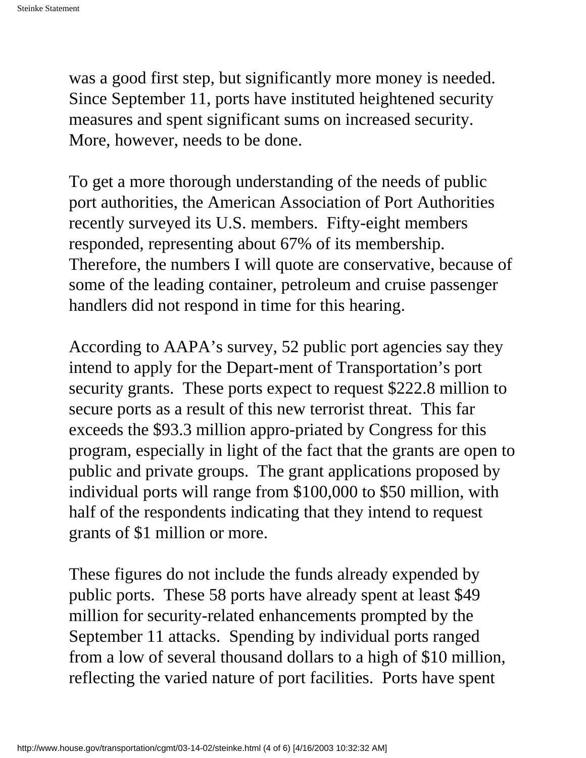was a good first step, but significantly more money is needed. Since September 11, ports have instituted heightened security measures and spent significant sums on increased security. More, however, needs to be done.

To get a more thorough understanding of the needs of public port authorities, the American Association of Port Authorities recently surveyed its U.S. members. Fifty-eight members responded, representing about 67% of its membership. Therefore, the numbers I will quote are conservative, because of some of the leading container, petroleum and cruise passenger handlers did not respond in time for this hearing.

According to AAPA's survey, 52 public port agencies say they intend to apply for the Depart-ment of Transportation's port security grants. These ports expect to request \$222.8 million to secure ports as a result of this new terrorist threat. This far exceeds the \$93.3 million appro-priated by Congress for this program, especially in light of the fact that the grants are open to public and private groups. The grant applications proposed by individual ports will range from \$100,000 to \$50 million, with half of the respondents indicating that they intend to request grants of \$1 million or more.

These figures do not include the funds already expended by public ports. These 58 ports have already spent at least \$49 million for security-related enhancements prompted by the September 11 attacks. Spending by individual ports ranged from a low of several thousand dollars to a high of \$10 million, reflecting the varied nature of port facilities. Ports have spent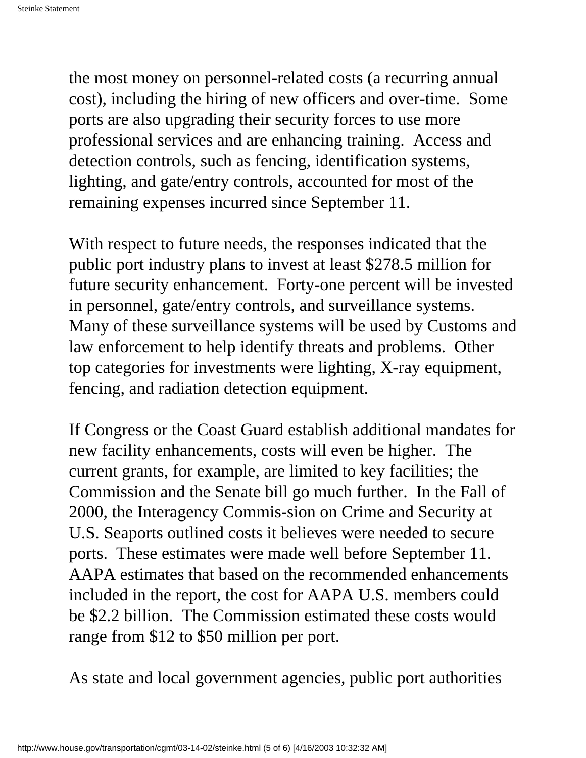the most money on personnel-related costs (a recurring annual cost), including the hiring of new officers and over-time. Some ports are also upgrading their security forces to use more professional services and are enhancing training. Access and detection controls, such as fencing, identification systems, lighting, and gate/entry controls, accounted for most of the remaining expenses incurred since September 11.

With respect to future needs, the responses indicated that the public port industry plans to invest at least \$278.5 million for future security enhancement. Forty-one percent will be invested in personnel, gate/entry controls, and surveillance systems. Many of these surveillance systems will be used by Customs and law enforcement to help identify threats and problems. Other top categories for investments were lighting, X-ray equipment, fencing, and radiation detection equipment.

If Congress or the Coast Guard establish additional mandates for new facility enhancements, costs will even be higher. The current grants, for example, are limited to key facilities; the Commission and the Senate bill go much further. In the Fall of 2000, the Interagency Commis-sion on Crime and Security at U.S. Seaports outlined costs it believes were needed to secure ports. These estimates were made well before September 11. AAPA estimates that based on the recommended enhancements included in the report, the cost for AAPA U.S. members could be \$2.2 billion. The Commission estimated these costs would range from \$12 to \$50 million per port.

As state and local government agencies, public port authorities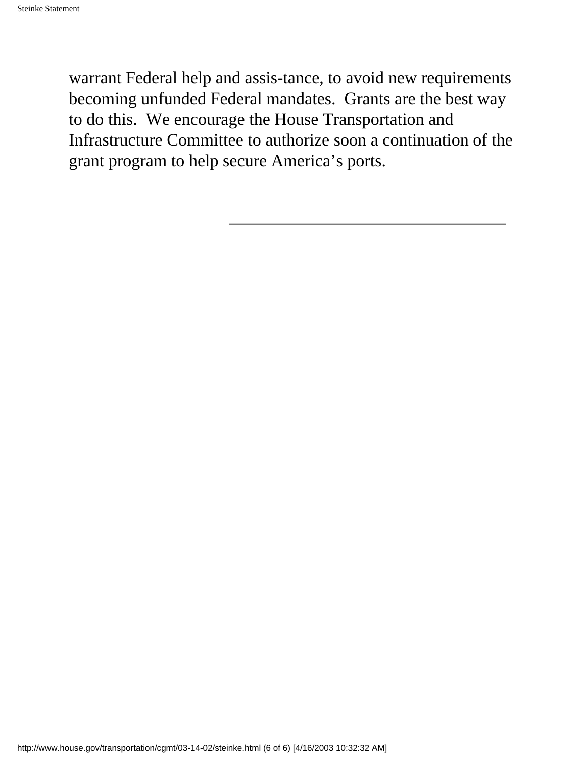warrant Federal help and assis-tance, to avoid new requirements becoming unfunded Federal mandates. Grants are the best way to do this. We encourage the House Transportation and Infrastructure Committee to authorize soon a continuation of the grant program to help secure America's ports.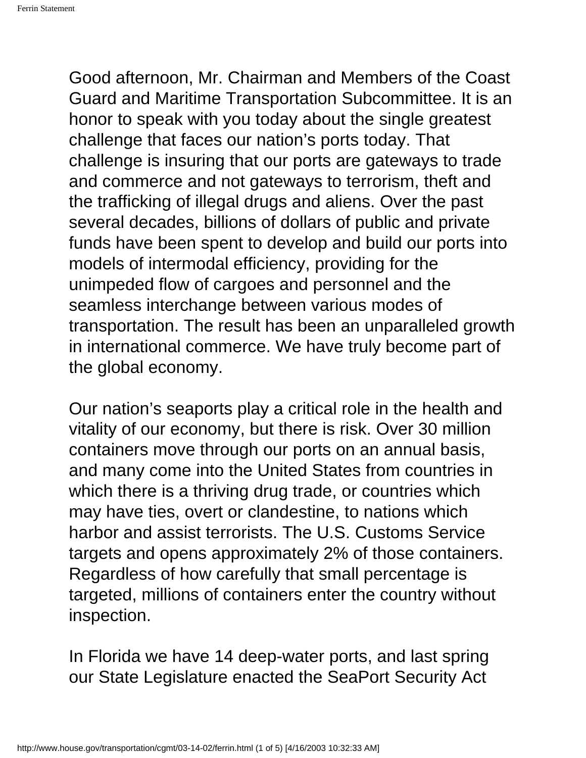<span id="page-31-0"></span>Good afternoon, Mr. Chairman and Members of the Coast Guard and Maritime Transportation Subcommittee. It is an honor to speak with you today about the single greatest challenge that faces our nation's ports today. That challenge is insuring that our ports are gateways to trade and commerce and not gateways to terrorism, theft and the trafficking of illegal drugs and aliens. Over the past several decades, billions of dollars of public and private funds have been spent to develop and build our ports into models of intermodal efficiency, providing for the unimpeded flow of cargoes and personnel and the seamless interchange between various modes of transportation. The result has been an unparalleled growth in international commerce. We have truly become part of the global economy.

Our nation's seaports play a critical role in the health and vitality of our economy, but there is risk. Over 30 million containers move through our ports on an annual basis, and many come into the United States from countries in which there is a thriving drug trade, or countries which may have ties, overt or clandestine, to nations which harbor and assist terrorists. The U.S. Customs Service targets and opens approximately 2% of those containers. Regardless of how carefully that small percentage is targeted, millions of containers enter the country without inspection.

In Florida we have 14 deep-water ports, and last spring our State Legislature enacted the SeaPort Security Act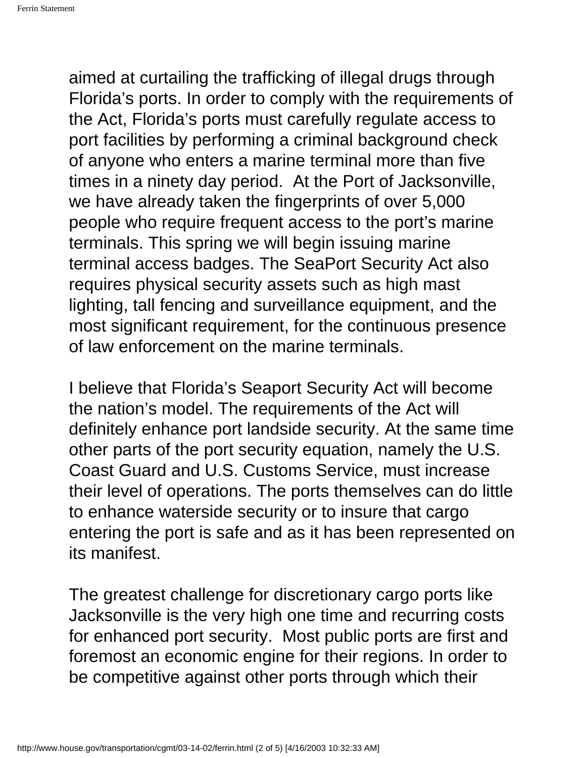aimed at curtailing the trafficking of illegal drugs through Florida's ports. In order to comply with the requirements of the Act, Florida's ports must carefully regulate access to port facilities by performing a criminal background check of anyone who enters a marine terminal more than five times in a ninety day period. At the Port of Jacksonville, we have already taken the fingerprints of over 5,000 people who require frequent access to the port's marine terminals. This spring we will begin issuing marine terminal access badges. The SeaPort Security Act also requires physical security assets such as high mast lighting, tall fencing and surveillance equipment, and the most significant requirement, for the continuous presence of law enforcement on the marine terminals.

I believe that Florida's Seaport Security Act will become the nation's model. The requirements of the Act will definitely enhance port landside security. At the same time other parts of the port security equation, namely the U.S. Coast Guard and U.S. Customs Service, must increase their level of operations. The ports themselves can do little to enhance waterside security or to insure that cargo entering the port is safe and as it has been represented on its manifest.

The greatest challenge for discretionary cargo ports like Jacksonville is the very high one time and recurring costs for enhanced port security. Most public ports are first and foremost an economic engine for their regions. In order to be competitive against other ports through which their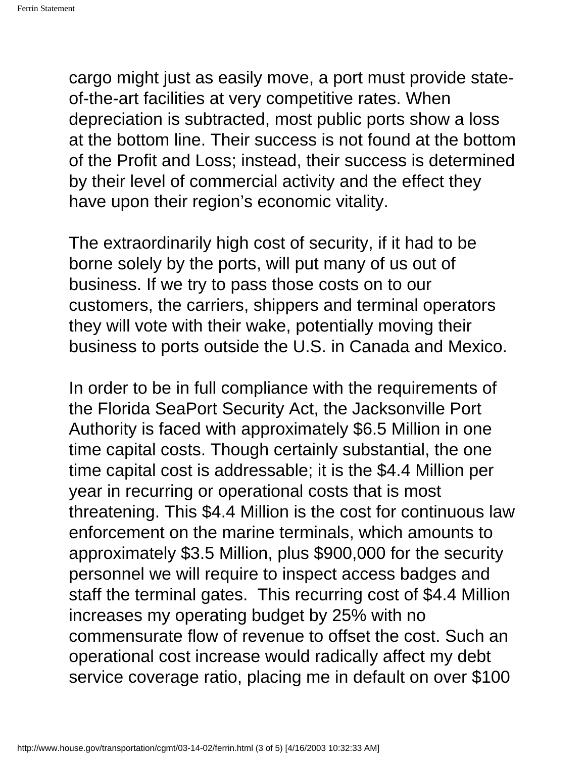cargo might just as easily move, a port must provide stateof-the-art facilities at very competitive rates. When depreciation is subtracted, most public ports show a loss at the bottom line. Their success is not found at the bottom of the Profit and Loss; instead, their success is determined by their level of commercial activity and the effect they have upon their region's economic vitality.

The extraordinarily high cost of security, if it had to be borne solely by the ports, will put many of us out of business. If we try to pass those costs on to our customers, the carriers, shippers and terminal operators they will vote with their wake, potentially moving their business to ports outside the U.S. in Canada and Mexico.

In order to be in full compliance with the requirements of the Florida SeaPort Security Act, the Jacksonville Port Authority is faced with approximately \$6.5 Million in one time capital costs. Though certainly substantial, the one time capital cost is addressable; it is the \$4.4 Million per year in recurring or operational costs that is most threatening. This \$4.4 Million is the cost for continuous law enforcement on the marine terminals, which amounts to approximately \$3.5 Million, plus \$900,000 for the security personnel we will require to inspect access badges and staff the terminal gates. This recurring cost of \$4.4 Million increases my operating budget by 25% with no commensurate flow of revenue to offset the cost. Such an operational cost increase would radically affect my debt service coverage ratio, placing me in default on over \$100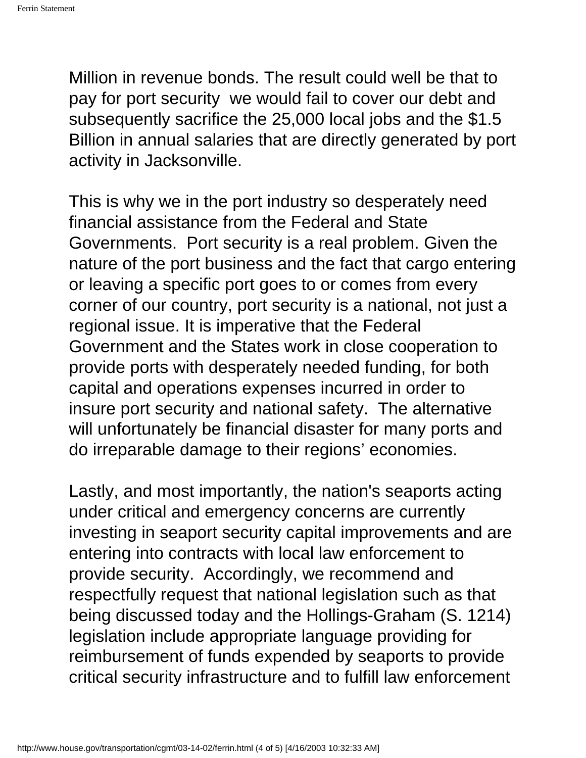Million in revenue bonds. The result could well be that to pay for port security we would fail to cover our debt and subsequently sacrifice the 25,000 local jobs and the \$1.5 Billion in annual salaries that are directly generated by port activity in Jacksonville.

This is why we in the port industry so desperately need financial assistance from the Federal and State Governments. Port security is a real problem. Given the nature of the port business and the fact that cargo entering or leaving a specific port goes to or comes from every corner of our country, port security is a national, not just a regional issue. It is imperative that the Federal Government and the States work in close cooperation to provide ports with desperately needed funding, for both capital and operations expenses incurred in order to insure port security and national safety. The alternative will unfortunately be financial disaster for many ports and do irreparable damage to their regions' economies.

Lastly, and most importantly, the nation's seaports acting under critical and emergency concerns are currently investing in seaport security capital improvements and are entering into contracts with local law enforcement to provide security. Accordingly, we recommend and respectfully request that national legislation such as that being discussed today and the Hollings-Graham (S. 1214) legislation include appropriate language providing for reimbursement of funds expended by seaports to provide critical security infrastructure and to fulfill law enforcement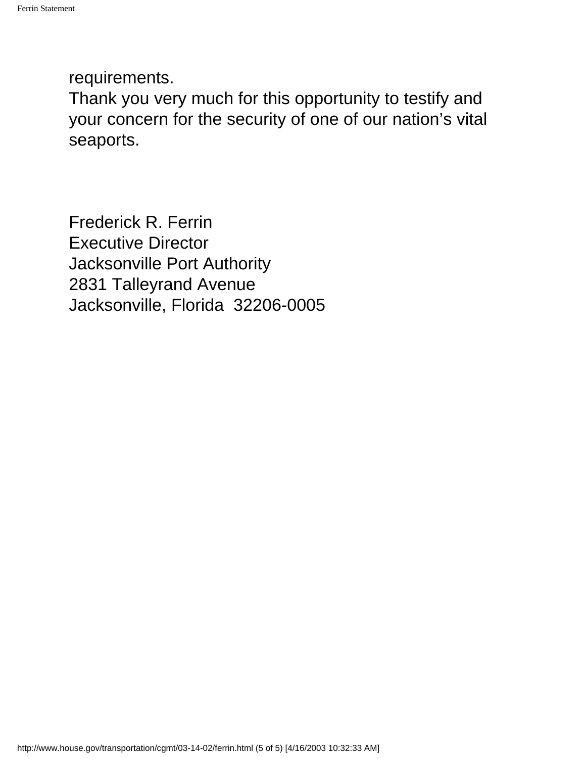requirements.

Thank you very much for this opportunity to testify and your concern for the security of one of our nation's vital seaports.

Frederick R. Ferrin Executive Director Jacksonville Port Authority 2831 Talleyrand Avenue Jacksonville, Florida 32206-0005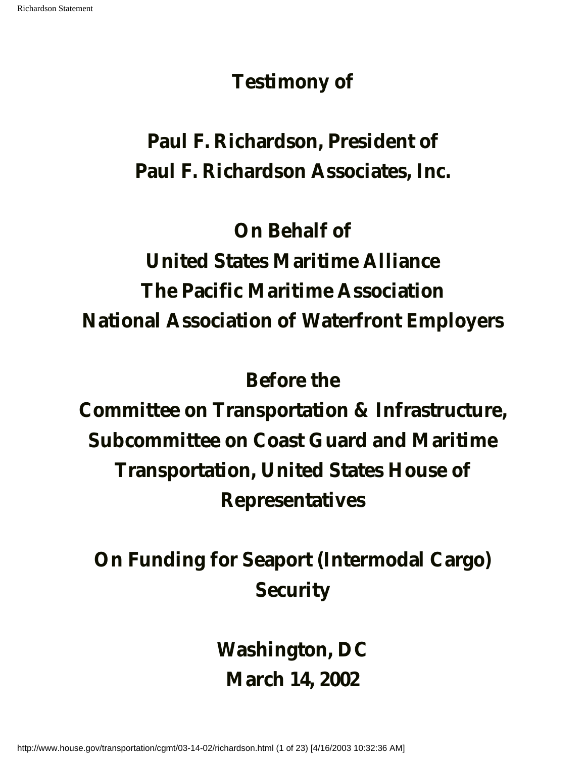# **Testimony of**

# <span id="page-36-0"></span>**Paul F. Richardson, President of Paul F. Richardson Associates, Inc.**

# **On Behalf of**

# **United States Maritime Alliance The Pacific Maritime Association National Association of Waterfront Employers**

## **Before the**

**Committee on Transportation & Infrastructure, Subcommittee on Coast Guard and Maritime Transportation, United States House of Representatives**

# **On Funding for Seaport (Intermodal Cargo) Security**

**Washington, DC March 14, 2002**

http://www.house.gov/transportation/cgmt/03-14-02/richardson.html (1 of 23) [4/16/2003 10:32:36 AM]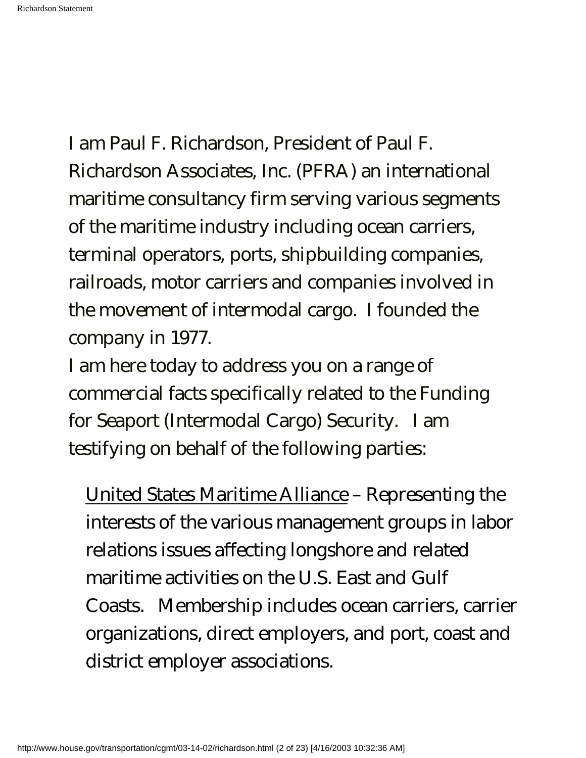I am Paul F. Richardson, President of Paul F. Richardson Associates, Inc. (PFRA) an international maritime consultancy firm serving various segments of the maritime industry including ocean carriers, terminal operators, ports, shipbuilding companies, railroads, motor carriers and companies involved in the movement of intermodal cargo. I founded the company in 1977.

I am here today to address you on a range of commercial facts specifically related to the Funding for Seaport (Intermodal Cargo) Security. I am testifying on behalf of the following parties:

United States Maritime Alliance – Representing the interests of the various management groups in labor relations issues affecting longshore and related maritime activities on the U.S. East and Gulf Coasts. Membership includes ocean carriers, carrier organizations, direct employers, and port, coast and district employer associations.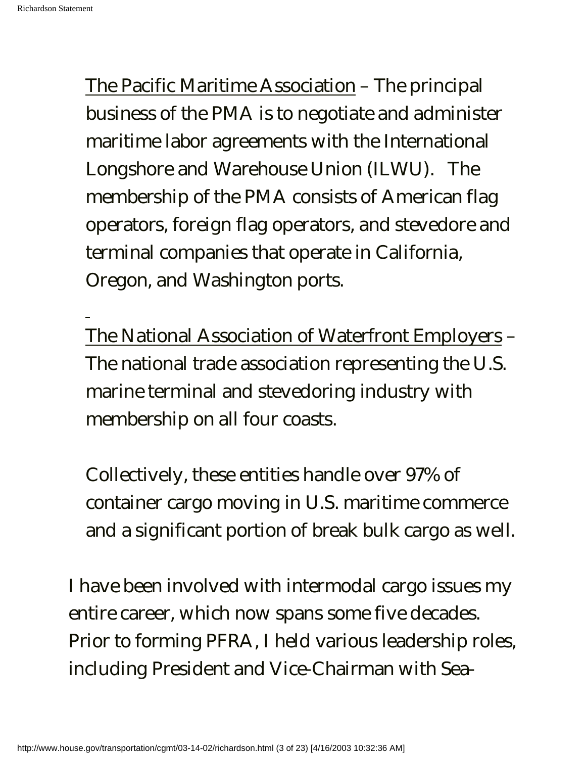The Pacific Maritime Association – The principal business of the PMA is to negotiate and administer maritime labor agreements with the International Longshore and Warehouse Union (ILWU). The membership of the PMA consists of American flag operators, foreign flag operators, and stevedore and terminal companies that operate in California, Oregon, and Washington ports.

The National Association of Waterfront Employers – The national trade association representing the U.S. marine terminal and stevedoring industry with membership on all four coasts.

Collectively, these entities handle over 97% of container cargo moving in U.S. maritime commerce and a significant portion of break bulk cargo as well.

I have been involved with intermodal cargo issues my entire career, which now spans some five decades. Prior to forming PFRA, I held various leadership roles, including President and Vice-Chairman with Sea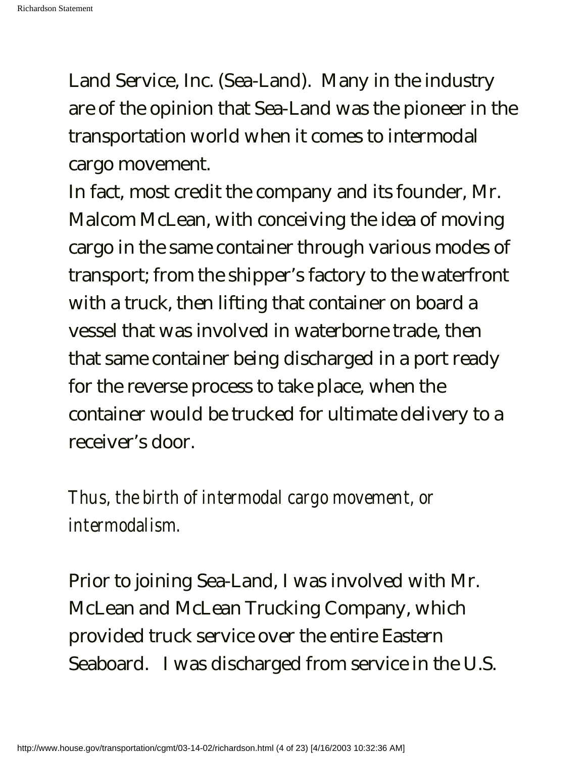Land Service, Inc. (Sea-Land). Many in the industry are of the opinion that Sea-Land was the pioneer in the transportation world when it comes to intermodal cargo movement.

In fact, most credit the company and its founder, Mr. Malcom McLean, with conceiving the idea of moving cargo in the same container through various modes of transport; from the shipper's factory to the waterfront with a truck, then lifting that container on board a vessel that was involved in waterborne trade, then that same container being discharged in a port ready for the reverse process to take place, when the container would be trucked for ultimate delivery to a receiver's door.

*Thus, the birth of intermodal cargo movement, or intermodalism.* 

Prior to joining Sea-Land, I was involved with Mr. McLean and McLean Trucking Company, which provided truck service over the entire Eastern Seaboard. I was discharged from service in the U.S.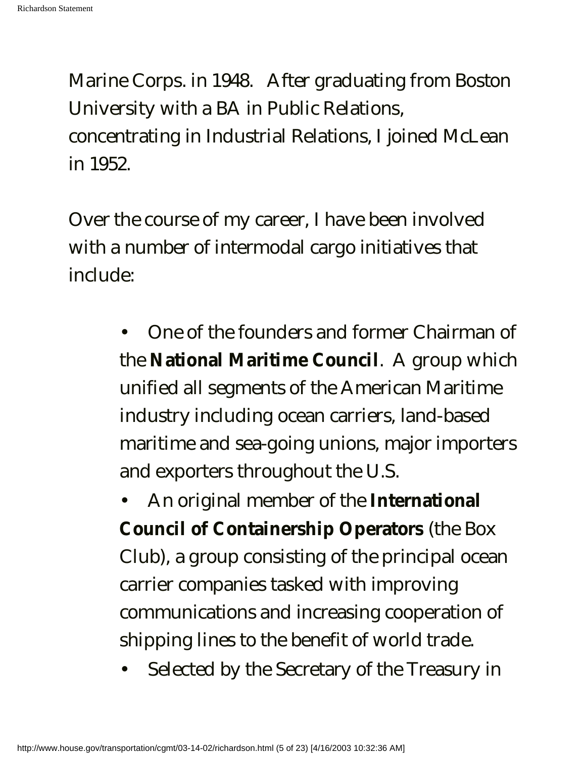Marine Corps. in 1948. After graduating from Boston University with a BA in Public Relations, concentrating in Industrial Relations, I joined McLean in 1952.

Over the course of my career, I have been involved with a number of intermodal cargo initiatives that include:

> • One of the founders and former Chairman of the **National Maritime Council**. A group which unified all segments of the American Maritime industry including ocean carriers, land-based maritime and sea-going unions, major importers and exporters throughout the U.S.

• An original member of the **International Council of Containership Operators** (the Box Club), a group consisting of the principal ocean carrier companies tasked with improving communications and increasing cooperation of shipping lines to the benefit of world trade.

• Selected by the Secretary of the Treasury in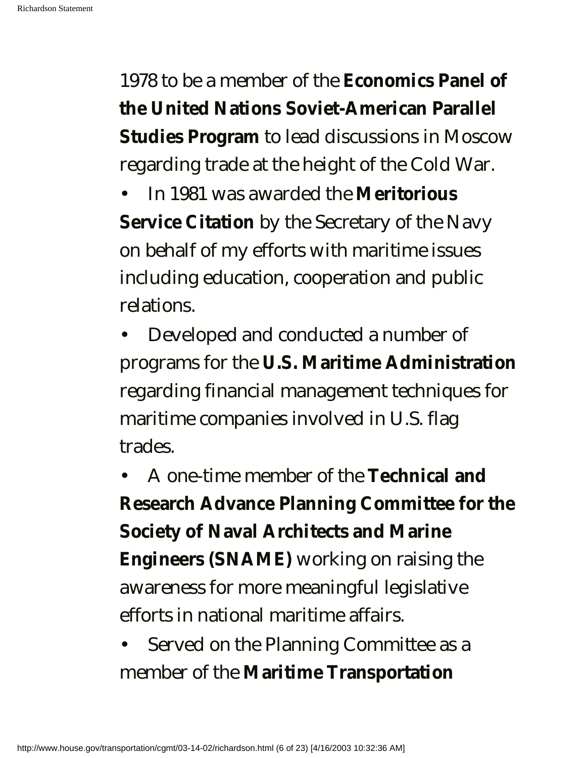1978 to be a member of the **Economics Panel of the United Nations Soviet-American Parallel Studies Program** to lead discussions in Moscow regarding trade at the height of the Cold War.

• In 1981 was awarded the **Meritorious Service Citation** by the Secretary of the Navy on behalf of my efforts with maritime issues including education, cooperation and public relations.

• Developed and conducted a number of programs for the **U.S. Maritime Administration** regarding financial management techniques for maritime companies involved in U.S. flag trades.

• A one-time member of the **Technical and Research Advance Planning Committee for the Society of Naval Architects and Marine Engineers (SNAME)** working on raising the awareness for more meaningful legislative efforts in national maritime affairs.

• Served on the Planning Committee as a member of the **Maritime Transportation**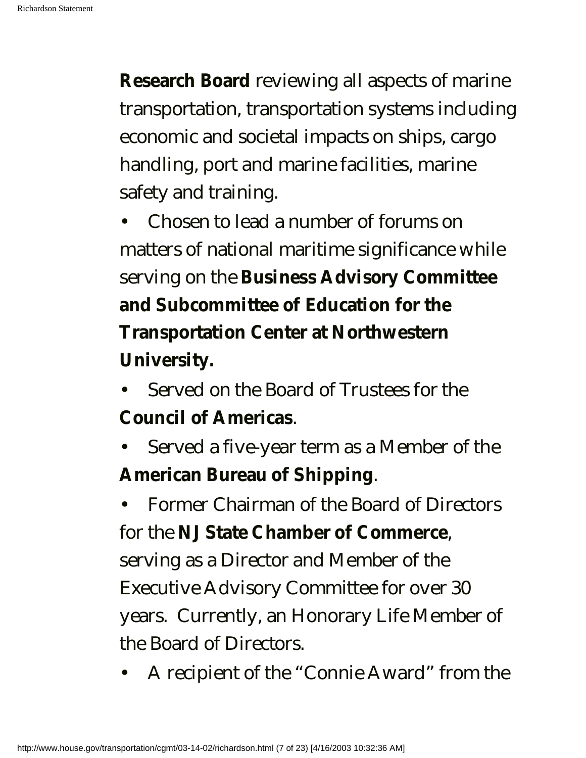**Research Board** reviewing all aspects of marine transportation, transportation systems including economic and societal impacts on ships, cargo handling, port and marine facilities, marine safety and training.

• Chosen to lead a number of forums on matters of national maritime significance while serving on the **Business Advisory Committee and Subcommittee of Education for the Transportation Center at Northwestern University.**

- Served on the Board of Trustees for the **Council of Americas**.
- Served a five-year term as a Member of the **American Bureau of Shipping**.

• Former Chairman of the Board of Directors for the **NJ State Chamber of Commerce**, serving as a Director and Member of the Executive Advisory Committee for over 30 years. Currently, an Honorary Life Member of the Board of Directors.

• A recipient of the "Connie Award" from the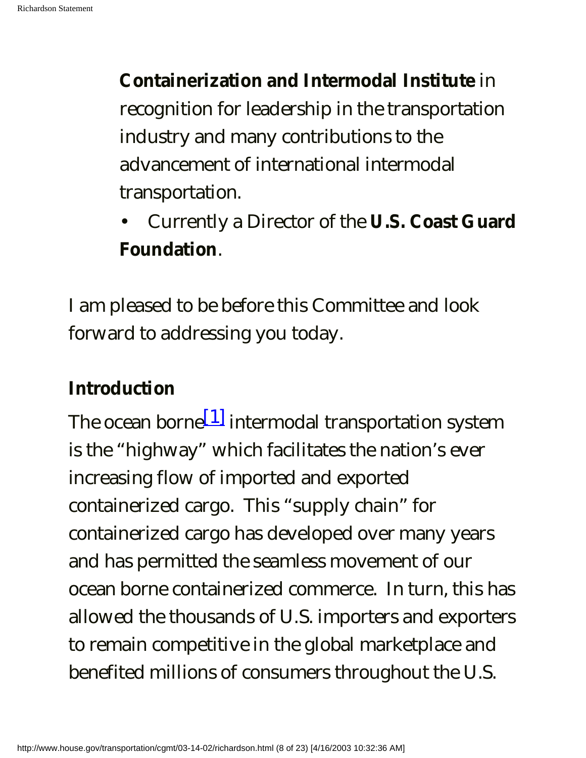**Containerization and Intermodal Institute** in recognition for leadership in the transportation industry and many contributions to the advancement of international intermodal transportation.

• Currently a Director of the **U.S. Coast Guard Foundation**.

I am pleased to be before this Committee and look forward to addressing you today.

# **Introduction**

The ocean borne $[1]$  intermodal transportation system is the "highway" which facilitates the nation's ever increasing flow of imported and exported containerized cargo. This "supply chain" for containerized cargo has developed over many years and has permitted the seamless movement of our ocean borne containerized commerce. In turn, this has allowed the thousands of U.S. importers and exporters to remain competitive in the global marketplace and benefited millions of consumers throughout the U.S.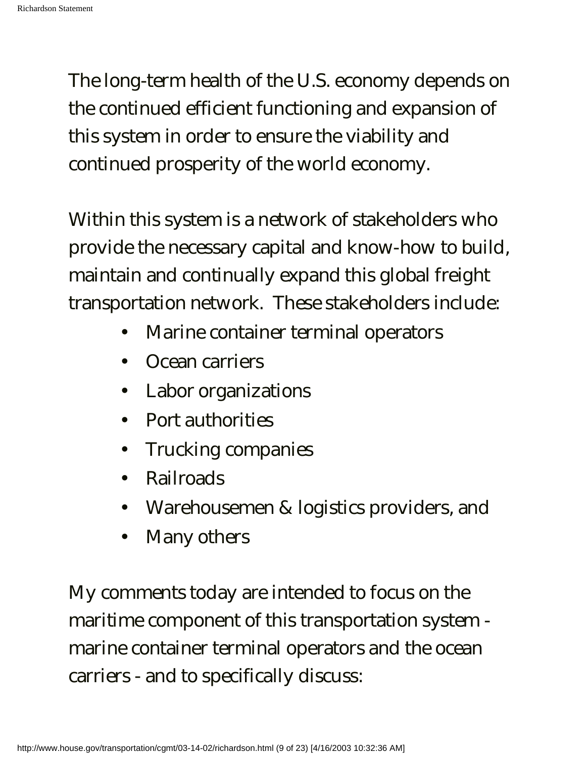The long-term health of the U.S. economy depends on the continued efficient functioning and expansion of this system in order to ensure the viability and continued prosperity of the world economy.

Within this system is a network of stakeholders who provide the necessary capital and know-how to build, maintain and continually expand this global freight transportation network. These stakeholders include:

- Marine container terminal operators
- Ocean carriers
- Labor organizations
- Port authorities
- Trucking companies
- Railroads
- Warehousemen & logistics providers, and
- Many others

My comments today are intended to focus on the maritime component of this transportation system marine container terminal operators and the ocean carriers - and to specifically discuss: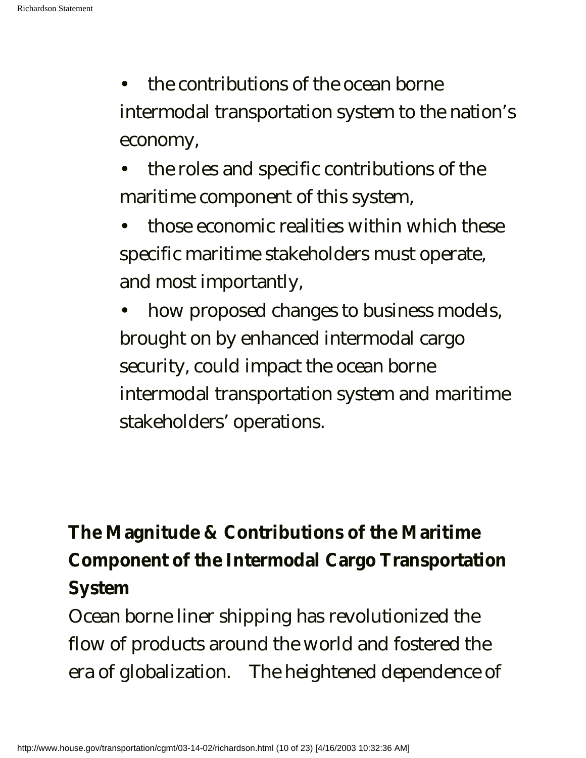- the contributions of the ocean borne intermodal transportation system to the nation's economy,
- the roles and specific contributions of the maritime component of this system,
- those economic realities within which these specific maritime stakeholders must operate, and most importantly,
- how proposed changes to business models, brought on by enhanced intermodal cargo security, could impact the ocean borne intermodal transportation system and maritime stakeholders' operations.

# **The Magnitude & Contributions of the Maritime Component of the Intermodal Cargo Transportation System**

Ocean borne liner shipping has revolutionized the flow of products around the world and fostered the era of globalization. The heightened dependence of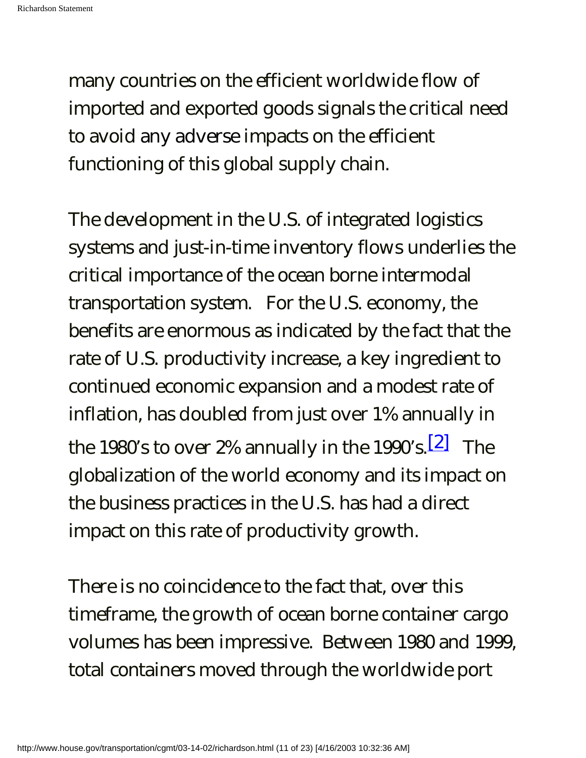many countries on the efficient worldwide flow of imported and exported goods signals the critical need to avoid any adverse impacts on the efficient functioning of this global supply chain.

The development in the U.S. of integrated logistics systems and just-in-time inventory flows underlies the critical importance of the ocean borne intermodal transportation system. For the U.S. economy, the benefits are enormous as indicated by the fact that the rate of U.S. productivity increase, a key ingredient to continued economic expansion and a modest rate of inflation, has doubled from just over 1% annually in the 1980's to over 2% annually in the 1990's.<sup>[2]</sup> The globalization of the world economy and its impact on the business practices in the U.S. has had a direct impact on this rate of productivity growth.

There is no coincidence to the fact that, over this timeframe, the growth of ocean borne container cargo volumes has been impressive. Between 1980 and 1999, total containers moved through the worldwide port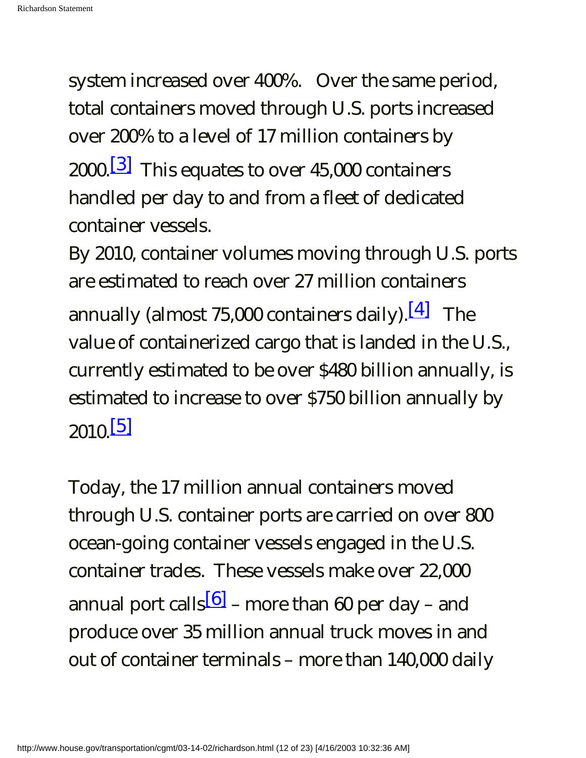system increased over 400%. Over the same period, total containers moved through U.S. ports increased over 200% to a level of 17 million containers by 2000. $\boxed{3}$  This equates to over 45,000 containers handled per day to and from a fleet of dedicated container vessels.

By 2010, container volumes moving through U.S. ports are estimated to reach over 27 million containers annually (almost 75,000 containers daily).  $[4]$  The value of containerized cargo that is landed in the U.S., currently estimated to be over \$480 billion annually, is estimated to increase to over \$750 billion annually by  $2010.$ [5]

Today, the 17 million annual containers moved through U.S. container ports are carried on over 800 ocean-going container vessels engaged in the U.S. container trades. These vessels make over 22,000 annual port calls<sup>[6]</sup> – more than 60 per day – and produce over 35 million annual truck moves in and out of container terminals – more than 140,000 daily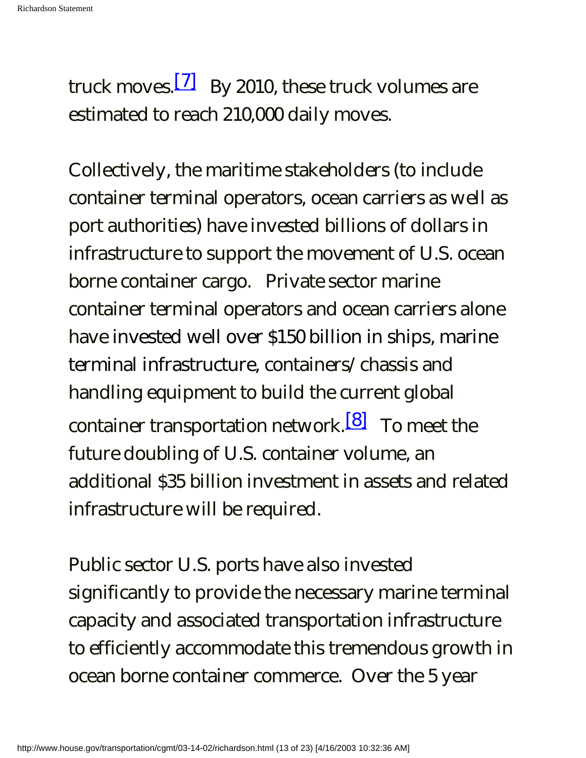truck moves.<sup>[7]</sup> By 2010, these truck volumes are estimated to reach 210,000 daily moves.

Collectively, the maritime stakeholders (to include container terminal operators, ocean carriers as well as port authorities) have invested billions of dollars in infrastructure to support the movement of U.S. ocean borne container cargo. Private sector marine container terminal operators and ocean carriers alone have invested well over \$150 billion in ships, marine terminal infrastructure, containers/chassis and handling equipment to build the current global container transportation network.<sup>[8]</sup> To meet the future doubling of U.S. container volume, an additional \$35 billion investment in assets and related infrastructure will be required.

Public sector U.S. ports have also invested significantly to provide the necessary marine terminal capacity and associated transportation infrastructure to efficiently accommodate this tremendous growth in ocean borne container commerce. Over the 5 year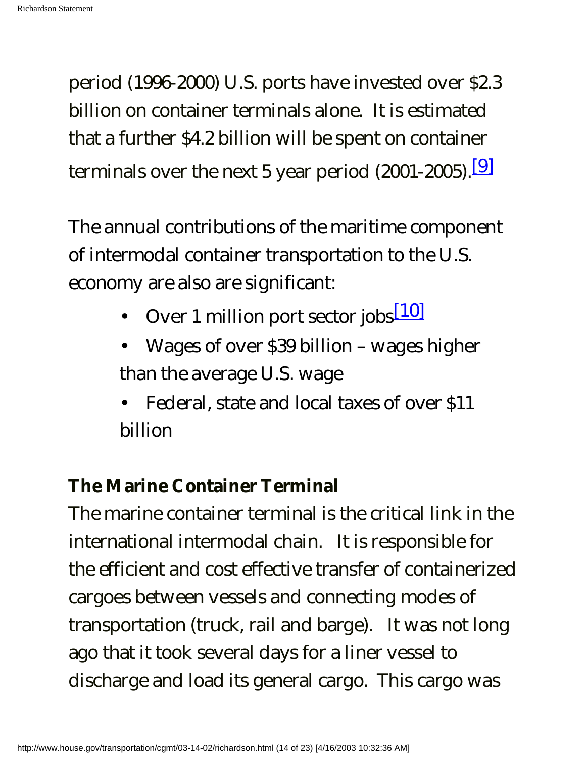period (1996-2000) U.S. ports have invested over \$2.3 billion on container terminals alone. It is estimated that a further \$4.2 billion will be spent on container terminals over the next 5 year period  $(2001-2005)$ .<sup>[9]</sup>

The annual contributions of the maritime component of intermodal container transportation to the U.S. economy are also are significant:

- Over 1 million port sector jobs $\sqrt{10}$
- Wages of over \$39 billion wages higher than the average U.S. wage
- Federal, state and local taxes of over \$11 billion

# **The Marine Container Terminal**

The marine container terminal is the critical link in the international intermodal chain. It is responsible for the efficient and cost effective transfer of containerized cargoes between vessels and connecting modes of transportation (truck, rail and barge). It was not long ago that it took several days for a liner vessel to discharge and load its general cargo. This cargo was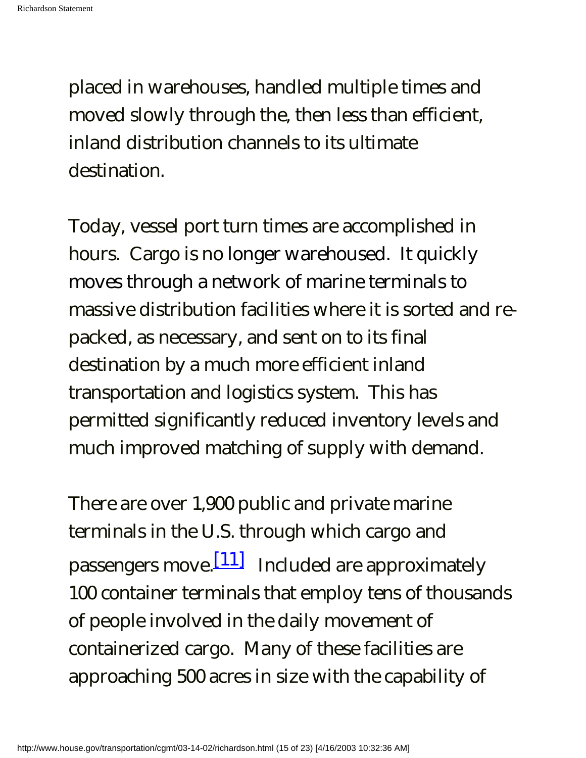placed in warehouses, handled multiple times and moved slowly through the, then less than efficient, inland distribution channels to its ultimate destination.

Today, vessel port turn times are accomplished in hours. Cargo is no longer warehoused. It quickly moves through a network of marine terminals to massive distribution facilities where it is sorted and repacked, as necessary, and sent on to its final destination by a much more efficient inland transportation and logistics system. This has permitted significantly reduced inventory levels and much improved matching of supply with demand.

There are over 1,900 public and private marine terminals in the U.S. through which cargo and passengers move.  $[11]$  Included are approximately 100 container terminals that employ tens of thousands of people involved in the daily movement of containerized cargo. Many of these facilities are approaching 500 acres in size with the capability of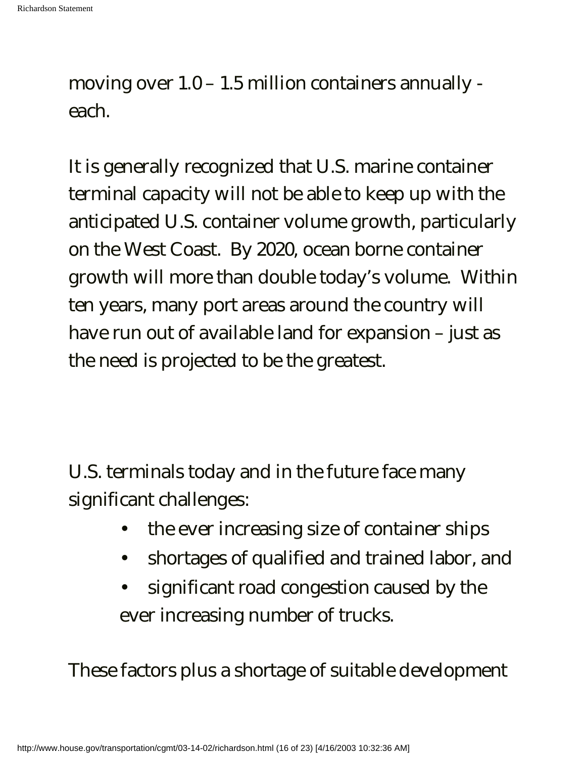moving over 1.0 – 1.5 million containers annually each.

It is generally recognized that U.S. marine container terminal capacity will not be able to keep up with the anticipated U.S. container volume growth, particularly on the West Coast. By 2020, ocean borne container growth will more than double today's volume. Within ten years, many port areas around the country will have run out of available land for expansion – just as the need is projected to be the greatest.

U.S. terminals today and in the future face many significant challenges:

- the ever increasing size of container ships
- shortages of qualified and trained labor, and
- significant road congestion caused by the ever increasing number of trucks.

These factors plus a shortage of suitable development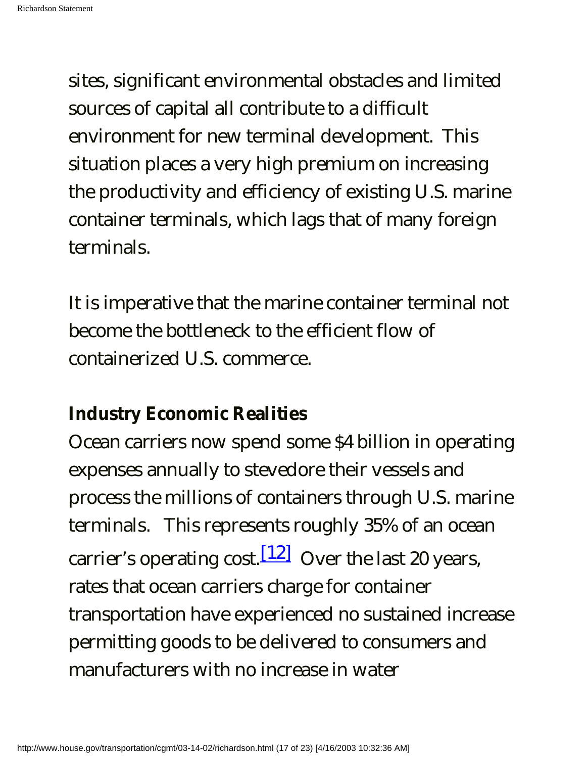sites, significant environmental obstacles and limited sources of capital all contribute to a difficult environment for new terminal development. This situation places a very high premium on increasing the productivity and efficiency of existing U.S. marine container terminals, which lags that of many foreign terminals.

It is imperative that the marine container terminal not become the bottleneck to the efficient flow of containerized U.S. commerce.

# **Industry Economic Realities**

Ocean carriers now spend some \$4 billion in operating expenses annually to stevedore their vessels and process the millions of containers through U.S. marine terminals. This represents roughly 35% of an ocean carrier's operating cost.  $[12]$  Over the last 20 years, rates that ocean carriers charge for container transportation have experienced no sustained increase permitting goods to be delivered to consumers and manufacturers with no increase in water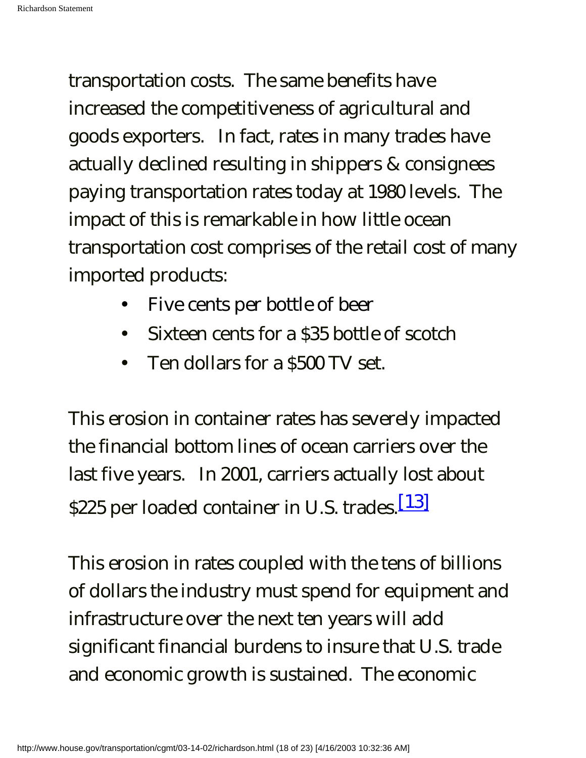transportation costs. The same benefits have increased the competitiveness of agricultural and goods exporters. In fact, rates in many trades have actually declined resulting in shippers & consignees paying transportation rates today at 1980 levels. The impact of this is remarkable in how little ocean transportation cost comprises of the retail cost of many imported products:

- Five cents per bottle of beer
- Sixteen cents for a \$35 bottle of scotch
- Ten dollars for a \$500 TV set.

This erosion in container rates has severely impacted the financial bottom lines of ocean carriers over the last five years. In 2001, carriers actually lost about \$225 per loaded container in U.S. trades.<sup>[13]</sup>

This erosion in rates coupled with the tens of billions of dollars the industry must spend for equipment and infrastructure over the next ten years will add significant financial burdens to insure that U.S. trade and economic growth is sustained. The economic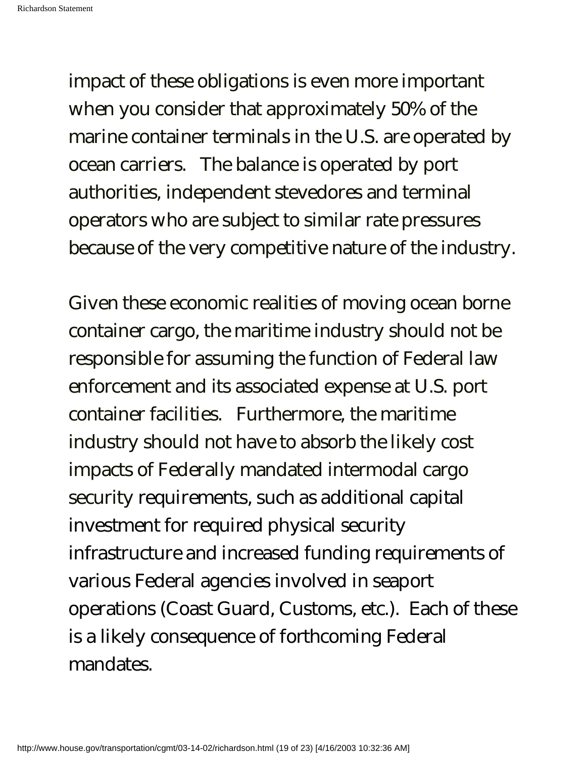impact of these obligations is even more important when you consider that approximately 50% of the marine container terminals in the U.S. are operated by ocean carriers. The balance is operated by port authorities, independent stevedores and terminal operators who are subject to similar rate pressures because of the very competitive nature of the industry.

Given these economic realities of moving ocean borne container cargo, the maritime industry should not be responsible for assuming the function of Federal law enforcement and its associated expense at U.S. port container facilities. Furthermore, the maritime industry should not have to absorb the likely cost impacts of Federally mandated intermodal cargo security requirements, such as additional capital investment for required physical security infrastructure and increased funding requirements of various Federal agencies involved in seaport operations (Coast Guard, Customs, etc.). Each of these is a likely consequence of forthcoming Federal mandates.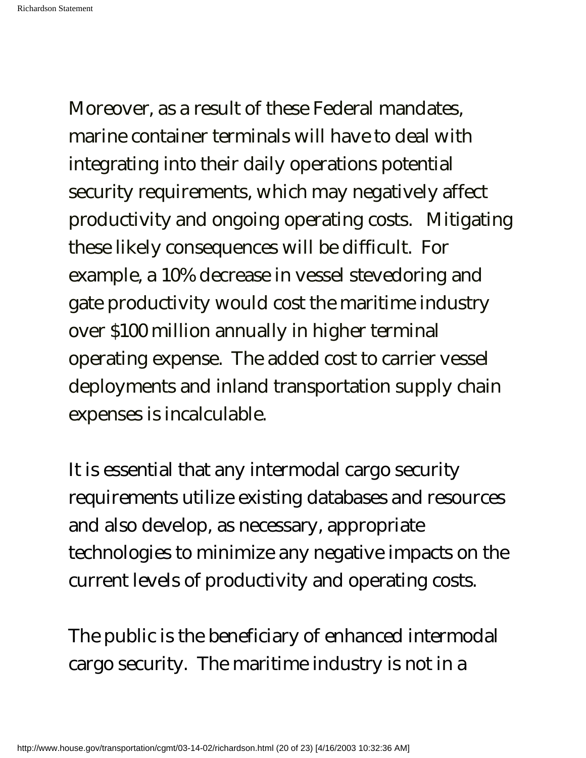Moreover, as a result of these Federal mandates, marine container terminals will have to deal with integrating into their daily operations potential security requirements, which may negatively affect productivity and ongoing operating costs. Mitigating these likely consequences will be difficult. For example, a 10% decrease in vessel stevedoring and gate productivity would cost the maritime industry over \$100 million annually in higher terminal operating expense. The added cost to carrier vessel deployments and inland transportation supply chain expenses is incalculable.

It is essential that any intermodal cargo security requirements utilize existing databases and resources and also develop, as necessary, appropriate technologies to minimize any negative impacts on the current levels of productivity and operating costs.

The public is the beneficiary of enhanced intermodal cargo security. The maritime industry is not in a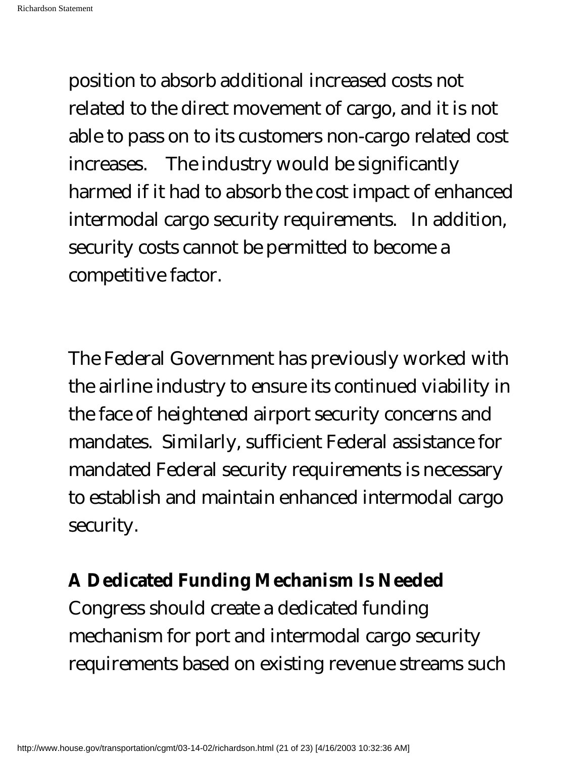position to absorb additional increased costs not related to the direct movement of cargo, and it is not able to pass on to its customers non-cargo related cost increases. The industry would be significantly harmed if it had to absorb the cost impact of enhanced intermodal cargo security requirements. In addition, security costs cannot be permitted to become a competitive factor.

The Federal Government has previously worked with the airline industry to ensure its continued viability in the face of heightened airport security concerns and mandates. Similarly, sufficient Federal assistance for mandated Federal security requirements is necessary to establish and maintain enhanced intermodal cargo security.

## **A Dedicated Funding Mechanism Is Needed**

Congress should create a dedicated funding mechanism for port and intermodal cargo security requirements based on existing revenue streams such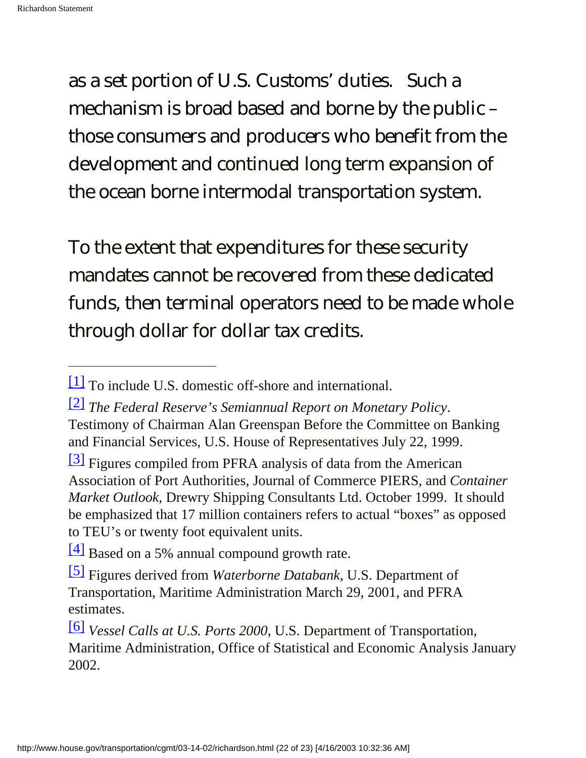as a set portion of U.S. Customs' duties. Such a mechanism is broad based and borne by the public – those consumers and producers who benefit from the development and continued long term expansion of the ocean borne intermodal transportation system.

To the extent that expenditures for these security mandates cannot be recovered from these dedicated funds, then terminal operators need to be made whole through dollar for dollar tax credits.

<sup>[1]</sup> To include U.S. domestic off-shore and international.

<sup>[2]</sup> *The Federal Reserve's Semiannual Report on Monetary Policy*. Testimony of Chairman Alan Greenspan Before the Committee on Banking and Financial Services, U.S. House of Representatives July 22, 1999.

<sup>&</sup>lt;sup>[3]</sup> Figures compiled from PFRA analysis of data from the American Association of Port Authorities, Journal of Commerce PIERS, and *Container Market Outlook,* Drewry Shipping Consultants Ltd. October 1999. It should be emphasized that 17 million containers refers to actual "boxes" as opposed to TEU's or twenty foot equivalent units.

<sup>[4]</sup> Based on a 5% annual compound growth rate.

<sup>[5]</sup> Figures derived from *Waterborne Databank,* U.S. Department of Transportation, Maritime Administration March 29, 2001, and PFRA estimates.

<sup>[6]</sup> *Vessel Calls at U.S. Ports 2000*, U.S. Department of Transportation, Maritime Administration, Office of Statistical and Economic Analysis January 2002.